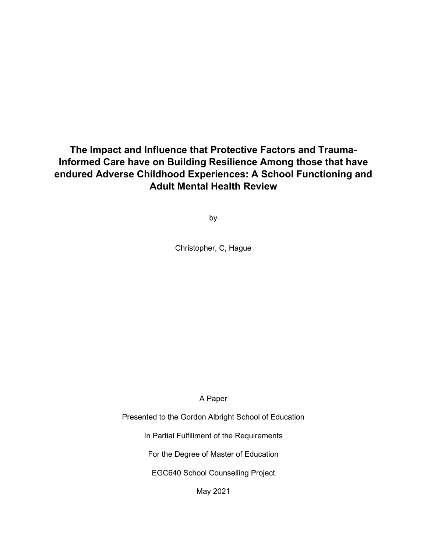**The Impact and Influence that Protective Factors and Trauma-Informed Care have on Building Resilience Among those that have endured Adverse Childhood Experiences: A School Functioning and Adult Mental Health Review** 

by

Christopher, C, Hague

A Paper

Presented to the Gordon Albright School of Education

In Partial Fulfillment of the Requirements

For the Degree of Master of Education

EGC640 School Counselling Project

May 2021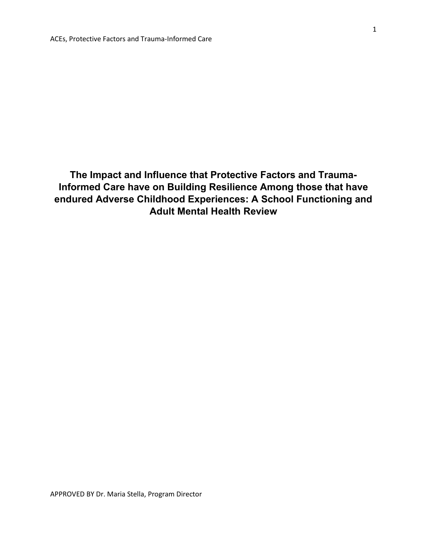**The Impact and Influence that Protective Factors and Trauma-Informed Care have on Building Resilience Among those that have endured Adverse Childhood Experiences: A School Functioning and Adult Mental Health Review**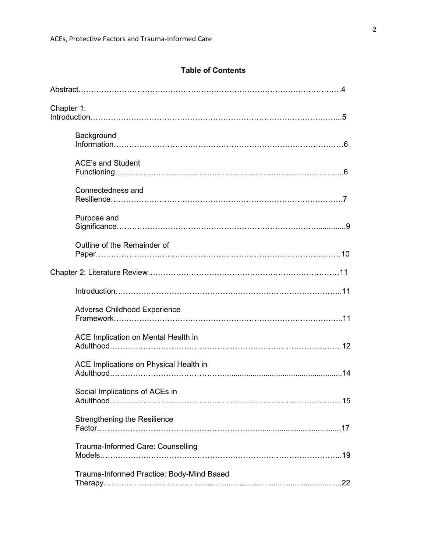# **Table of Contents**

| Chapter 1:                                                                       |  |
|----------------------------------------------------------------------------------|--|
| Background                                                                       |  |
| <b>ACE's and Student</b>                                                         |  |
| Connectedness and                                                                |  |
| Purpose and                                                                      |  |
| Outline of the Remainder of                                                      |  |
|                                                                                  |  |
|                                                                                  |  |
| Adverse Childhood Experience                                                     |  |
| ACE Implication on Mental Health in                                              |  |
| ACE Implications on Physical Health in                                           |  |
| Social Implications of ACEs in                                                   |  |
| <b>Strengthening the Resilience</b>                                              |  |
| Trauma-Informed Care: Counselling<br>Models……………………………………………………………………………………………19 |  |
| Trauma-Informed Practice: Body-Mind Based                                        |  |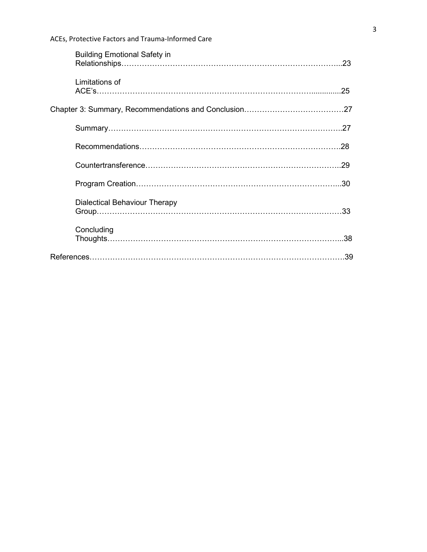| <b>Building Emotional Safety in</b>  |  |
|--------------------------------------|--|
| Limitations of                       |  |
|                                      |  |
|                                      |  |
|                                      |  |
|                                      |  |
|                                      |  |
| <b>Dialectical Behaviour Therapy</b> |  |
| Concluding                           |  |
|                                      |  |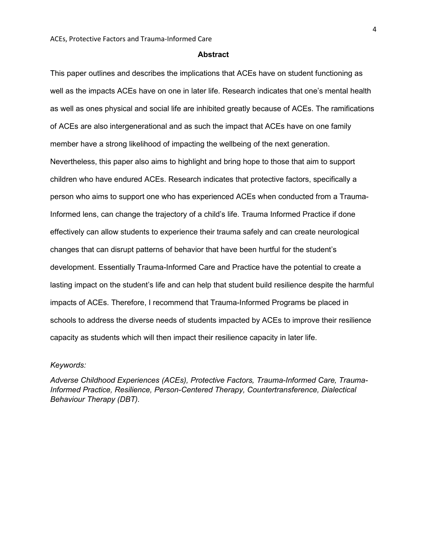#### **Abstract**

This paper outlines and describes the implications that ACEs have on student functioning as well as the impacts ACEs have on one in later life. Research indicates that one's mental health as well as ones physical and social life are inhibited greatly because of ACEs. The ramifications of ACEs are also intergenerational and as such the impact that ACEs have on one family member have a strong likelihood of impacting the wellbeing of the next generation. Nevertheless, this paper also aims to highlight and bring hope to those that aim to support children who have endured ACEs. Research indicates that protective factors, specifically a person who aims to support one who has experienced ACEs when conducted from a Trauma-Informed lens, can change the trajectory of a child's life. Trauma Informed Practice if done effectively can allow students to experience their trauma safely and can create neurological changes that can disrupt patterns of behavior that have been hurtful for the student's development. Essentially Trauma-Informed Care and Practice have the potential to create a lasting impact on the student's life and can help that student build resilience despite the harmful impacts of ACEs. Therefore, I recommend that Trauma-Informed Programs be placed in schools to address the diverse needs of students impacted by ACEs to improve their resilience capacity as students which will then impact their resilience capacity in later life.

## *Keywords:*

*Adverse Childhood Experiences (ACEs), Protective Factors, Trauma-Informed Care, Trauma-Informed Practice, Resilience, Person-Centered Therapy, Countertransference, Dialectical Behaviour Therapy (DBT).*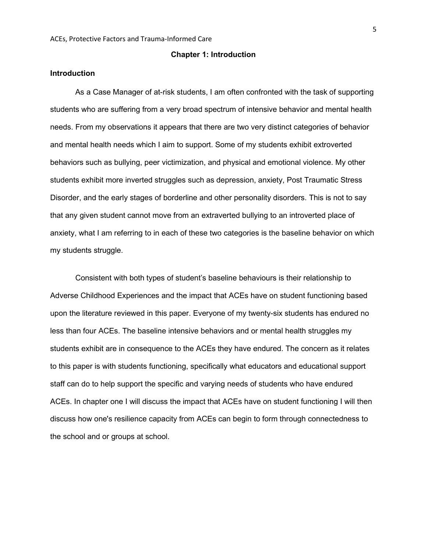#### **Chapter 1: Introduction**

## **Introduction**

As a Case Manager of at-risk students, I am often confronted with the task of supporting students who are suffering from a very broad spectrum of intensive behavior and mental health needs. From my observations it appears that there are two very distinct categories of behavior and mental health needs which I aim to support. Some of my students exhibit extroverted behaviors such as bullying, peer victimization, and physical and emotional violence. My other students exhibit more inverted struggles such as depression, anxiety, Post Traumatic Stress Disorder, and the early stages of borderline and other personality disorders. This is not to say that any given student cannot move from an extraverted bullying to an introverted place of anxiety, what I am referring to in each of these two categories is the baseline behavior on which my students struggle.

Consistent with both types of student's baseline behaviours is their relationship to Adverse Childhood Experiences and the impact that ACEs have on student functioning based upon the literature reviewed in this paper. Everyone of my twenty-six students has endured no less than four ACEs. The baseline intensive behaviors and or mental health struggles my students exhibit are in consequence to the ACEs they have endured. The concern as it relates to this paper is with students functioning, specifically what educators and educational support staff can do to help support the specific and varying needs of students who have endured ACEs. In chapter one I will discuss the impact that ACEs have on student functioning I will then discuss how one's resilience capacity from ACEs can begin to form through connectedness to the school and or groups at school.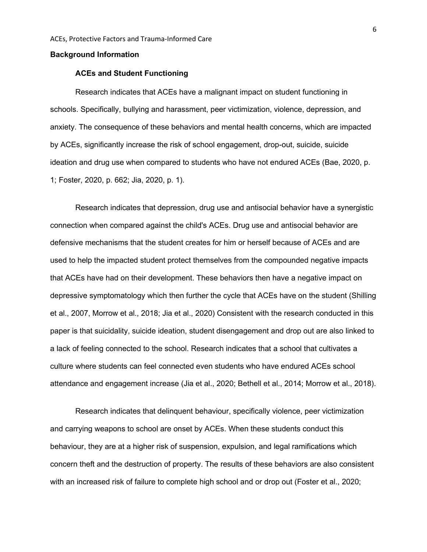#### **Background Information**

#### **ACEs and Student Functioning**

Research indicates that ACEs have a malignant impact on student functioning in schools. Specifically, bullying and harassment, peer victimization, violence, depression, and anxiety. The consequence of these behaviors and mental health concerns, which are impacted by ACEs, significantly increase the risk of school engagement, drop-out, suicide, suicide ideation and drug use when compared to students who have not endured ACEs (Bae, 2020, p. 1; Foster, 2020, p. 662; Jia, 2020, p. 1).

Research indicates that depression, drug use and antisocial behavior have a synergistic connection when compared against the child's ACEs. Drug use and antisocial behavior are defensive mechanisms that the student creates for him or herself because of ACEs and are used to help the impacted student protect themselves from the compounded negative impacts that ACEs have had on their development. These behaviors then have a negative impact on depressive symptomatology which then further the cycle that ACEs have on the student (Shilling et al., 2007, Morrow et al., 2018; Jia et al., 2020) Consistent with the research conducted in this paper is that suicidality, suicide ideation, student disengagement and drop out are also linked to a lack of feeling connected to the school. Research indicates that a school that cultivates a culture where students can feel connected even students who have endured ACEs school attendance and engagement increase (Jia et al., 2020; Bethell et al., 2014; Morrow et al., 2018).

Research indicates that delinquent behaviour, specifically violence, peer victimization and carrying weapons to school are onset by ACEs. When these students conduct this behaviour, they are at a higher risk of suspension, expulsion, and legal ramifications which concern theft and the destruction of property. The results of these behaviors are also consistent with an increased risk of failure to complete high school and or drop out (Foster et al., 2020;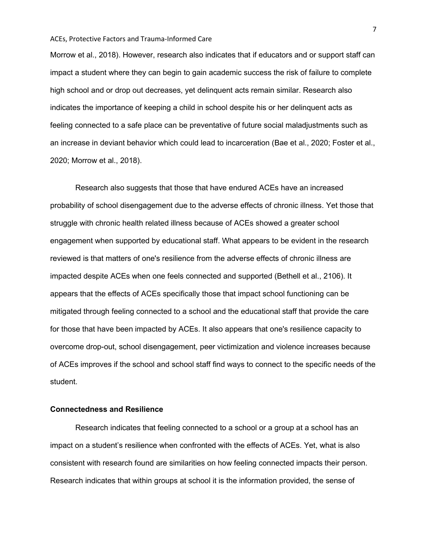Morrow et al., 2018). However, research also indicates that if educators and or support staff can impact a student where they can begin to gain academic success the risk of failure to complete high school and or drop out decreases, yet delinquent acts remain similar. Research also indicates the importance of keeping a child in school despite his or her delinquent acts as feeling connected to a safe place can be preventative of future social maladjustments such as an increase in deviant behavior which could lead to incarceration (Bae et al., 2020; Foster et al., 2020; Morrow et al., 2018).

Research also suggests that those that have endured ACEs have an increased probability of school disengagement due to the adverse effects of chronic illness. Yet those that struggle with chronic health related illness because of ACEs showed a greater school engagement when supported by educational staff. What appears to be evident in the research reviewed is that matters of one's resilience from the adverse effects of chronic illness are impacted despite ACEs when one feels connected and supported (Bethell et al., 2106). It appears that the effects of ACEs specifically those that impact school functioning can be mitigated through feeling connected to a school and the educational staff that provide the care for those that have been impacted by ACEs. It also appears that one's resilience capacity to overcome drop-out, school disengagement, peer victimization and violence increases because of ACEs improves if the school and school staff find ways to connect to the specific needs of the student.

## **Connectedness and Resilience**

Research indicates that feeling connected to a school or a group at a school has an impact on a student's resilience when confronted with the effects of ACEs. Yet, what is also consistent with research found are similarities on how feeling connected impacts their person. Research indicates that within groups at school it is the information provided, the sense of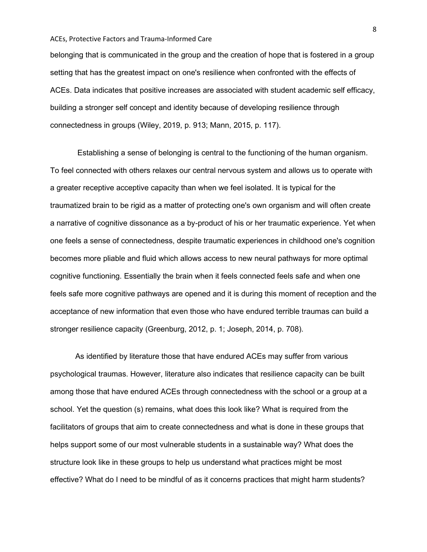belonging that is communicated in the group and the creation of hope that is fostered in a group setting that has the greatest impact on one's resilience when confronted with the effects of ACEs. Data indicates that positive increases are associated with student academic self efficacy, building a stronger self concept and identity because of developing resilience through connectedness in groups (Wiley, 2019, p. 913; Mann, 2015, p. 117).

Establishing a sense of belonging is central to the functioning of the human organism. To feel connected with others relaxes our central nervous system and allows us to operate with a greater receptive acceptive capacity than when we feel isolated. It is typical for the traumatized brain to be rigid as a matter of protecting one's own organism and will often create a narrative of cognitive dissonance as a by-product of his or her traumatic experience. Yet when one feels a sense of connectedness, despite traumatic experiences in childhood one's cognition becomes more pliable and fluid which allows access to new neural pathways for more optimal cognitive functioning. Essentially the brain when it feels connected feels safe and when one feels safe more cognitive pathways are opened and it is during this moment of reception and the acceptance of new information that even those who have endured terrible traumas can build a stronger resilience capacity (Greenburg, 2012, p. 1; Joseph, 2014, p. 708).

As identified by literature those that have endured ACEs may suffer from various psychological traumas. However, literature also indicates that resilience capacity can be built among those that have endured ACEs through connectedness with the school or a group at a school. Yet the question (s) remains, what does this look like? What is required from the facilitators of groups that aim to create connectedness and what is done in these groups that helps support some of our most vulnerable students in a sustainable way? What does the structure look like in these groups to help us understand what practices might be most effective? What do I need to be mindful of as it concerns practices that might harm students?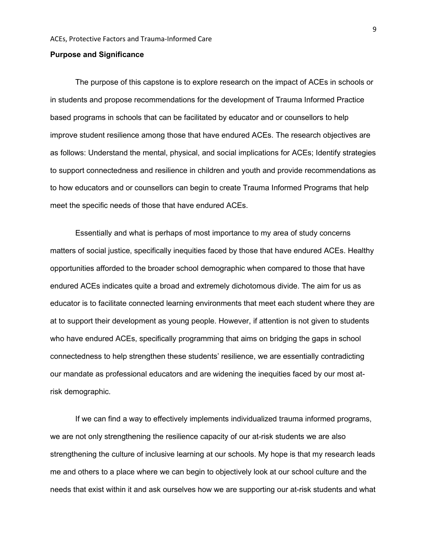#### **Purpose and Significance**

The purpose of this capstone is to explore research on the impact of ACEs in schools or in students and propose recommendations for the development of Trauma Informed Practice based programs in schools that can be facilitated by educator and or counsellors to help improve student resilience among those that have endured ACEs. The research objectives are as follows: Understand the mental, physical, and social implications for ACEs; Identify strategies to support connectedness and resilience in children and youth and provide recommendations as to how educators and or counsellors can begin to create Trauma Informed Programs that help meet the specific needs of those that have endured ACEs.

Essentially and what is perhaps of most importance to my area of study concerns matters of social justice, specifically inequities faced by those that have endured ACEs. Healthy opportunities afforded to the broader school demographic when compared to those that have endured ACEs indicates quite a broad and extremely dichotomous divide. The aim for us as educator is to facilitate connected learning environments that meet each student where they are at to support their development as young people. However, if attention is not given to students who have endured ACEs, specifically programming that aims on bridging the gaps in school connectedness to help strengthen these students' resilience, we are essentially contradicting our mandate as professional educators and are widening the inequities faced by our most atrisk demographic.

If we can find a way to effectively implements individualized trauma informed programs, we are not only strengthening the resilience capacity of our at-risk students we are also strengthening the culture of inclusive learning at our schools. My hope is that my research leads me and others to a place where we can begin to objectively look at our school culture and the needs that exist within it and ask ourselves how we are supporting our at-risk students and what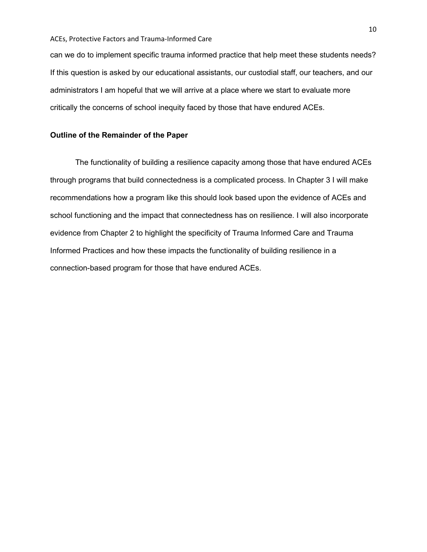can we do to implement specific trauma informed practice that help meet these students needs? If this question is asked by our educational assistants, our custodial staff, our teachers, and our administrators I am hopeful that we will arrive at a place where we start to evaluate more critically the concerns of school inequity faced by those that have endured ACEs.

## **Outline of the Remainder of the Paper**

The functionality of building a resilience capacity among those that have endured ACEs through programs that build connectedness is a complicated process. In Chapter 3 I will make recommendations how a program like this should look based upon the evidence of ACEs and school functioning and the impact that connectedness has on resilience. I will also incorporate evidence from Chapter 2 to highlight the specificity of Trauma Informed Care and Trauma Informed Practices and how these impacts the functionality of building resilience in a connection-based program for those that have endured ACEs.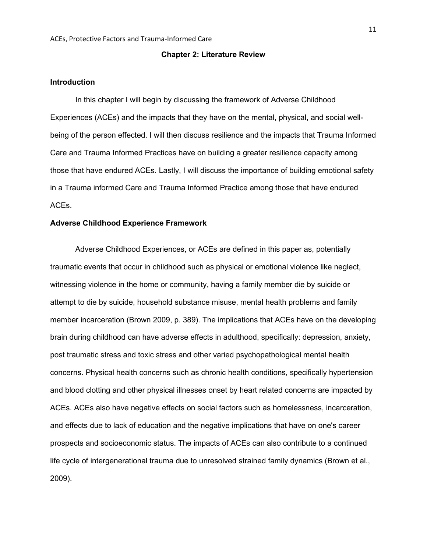#### **Chapter 2: Literature Review**

## **Introduction**

In this chapter I will begin by discussing the framework of Adverse Childhood Experiences (ACEs) and the impacts that they have on the mental, physical, and social wellbeing of the person effected. I will then discuss resilience and the impacts that Trauma Informed Care and Trauma Informed Practices have on building a greater resilience capacity among those that have endured ACEs. Lastly, I will discuss the importance of building emotional safety in a Trauma informed Care and Trauma Informed Practice among those that have endured ACEs.

## **Adverse Childhood Experience Framework**

Adverse Childhood Experiences, or ACEs are defined in this paper as, potentially traumatic events that occur in childhood such as physical or emotional violence like neglect, witnessing violence in the home or community, having a family member die by suicide or attempt to die by suicide, household substance misuse, mental health problems and family member incarceration (Brown 2009, p. 389). The implications that ACEs have on the developing brain during childhood can have adverse effects in adulthood, specifically: depression, anxiety, post traumatic stress and toxic stress and other varied psychopathological mental health concerns. Physical health concerns such as chronic health conditions, specifically hypertension and blood clotting and other physical illnesses onset by heart related concerns are impacted by ACEs. ACEs also have negative effects on social factors such as homelessness, incarceration, and effects due to lack of education and the negative implications that have on one's career prospects and socioeconomic status. The impacts of ACEs can also contribute to a continued life cycle of intergenerational trauma due to unresolved strained family dynamics (Brown et al., 2009).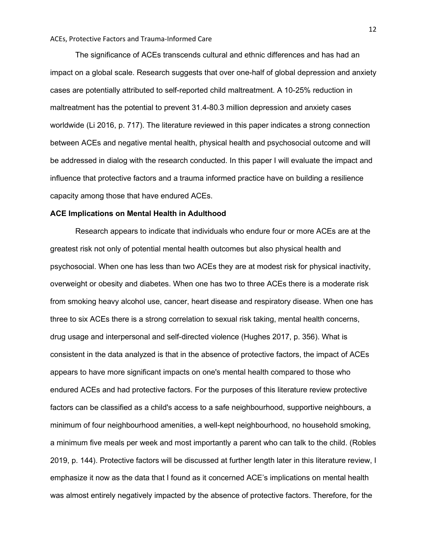The significance of ACEs transcends cultural and ethnic differences and has had an impact on a global scale. Research suggests that over one-half of global depression and anxiety cases are potentially attributed to self-reported child maltreatment. A 10-25% reduction in maltreatment has the potential to prevent 31.4-80.3 million depression and anxiety cases worldwide (Li 2016, p. 717). The literature reviewed in this paper indicates a strong connection between ACEs and negative mental health, physical health and psychosocial outcome and will be addressed in dialog with the research conducted. In this paper I will evaluate the impact and influence that protective factors and a trauma informed practice have on building a resilience capacity among those that have endured ACEs.

#### **ACE Implications on Mental Health in Adulthood**

Research appears to indicate that individuals who endure four or more ACEs are at the greatest risk not only of potential mental health outcomes but also physical health and psychosocial. When one has less than two ACEs they are at modest risk for physical inactivity, overweight or obesity and diabetes. When one has two to three ACEs there is a moderate risk from smoking heavy alcohol use, cancer, heart disease and respiratory disease. When one has three to six ACEs there is a strong correlation to sexual risk taking, mental health concerns, drug usage and interpersonal and self-directed violence (Hughes 2017, p. 356). What is consistent in the data analyzed is that in the absence of protective factors, the impact of ACEs appears to have more significant impacts on one's mental health compared to those who endured ACEs and had protective factors. For the purposes of this literature review protective factors can be classified as a child's access to a safe neighbourhood, supportive neighbours, a minimum of four neighbourhood amenities, a well-kept neighbourhood, no household smoking, a minimum five meals per week and most importantly a parent who can talk to the child. (Robles 2019, p. 144). Protective factors will be discussed at further length later in this literature review, I emphasize it now as the data that I found as it concerned ACE's implications on mental health was almost entirely negatively impacted by the absence of protective factors. Therefore, for the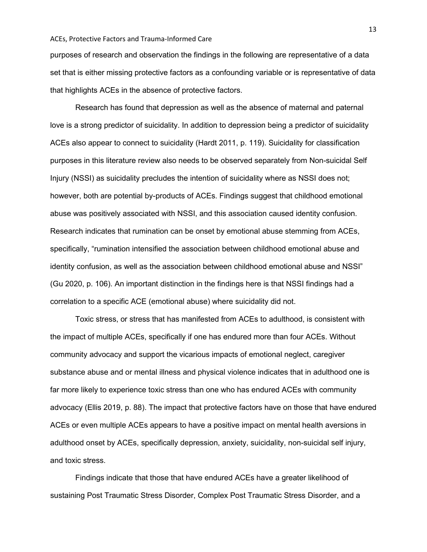purposes of research and observation the findings in the following are representative of a data set that is either missing protective factors as a confounding variable or is representative of data that highlights ACEs in the absence of protective factors.

Research has found that depression as well as the absence of maternal and paternal love is a strong predictor of suicidality. In addition to depression being a predictor of suicidality ACEs also appear to connect to suicidality (Hardt 2011, p. 119). Suicidality for classification purposes in this literature review also needs to be observed separately from Non-suicidal Self Injury (NSSI) as suicidality precludes the intention of suicidality where as NSSI does not; however, both are potential by-products of ACEs. Findings suggest that childhood emotional abuse was positively associated with NSSI, and this association caused identity confusion. Research indicates that rumination can be onset by emotional abuse stemming from ACEs, specifically, "rumination intensified the association between childhood emotional abuse and identity confusion, as well as the association between childhood emotional abuse and NSSI" (Gu 2020, p. 106). An important distinction in the findings here is that NSSI findings had a correlation to a specific ACE (emotional abuse) where suicidality did not.

Toxic stress, or stress that has manifested from ACEs to adulthood, is consistent with the impact of multiple ACEs, specifically if one has endured more than four ACEs. Without community advocacy and support the vicarious impacts of emotional neglect, caregiver substance abuse and or mental illness and physical violence indicates that in adulthood one is far more likely to experience toxic stress than one who has endured ACEs with community advocacy (Ellis 2019, p. 88). The impact that protective factors have on those that have endured ACEs or even multiple ACEs appears to have a positive impact on mental health aversions in adulthood onset by ACEs, specifically depression, anxiety, suicidality, non-suicidal self injury, and toxic stress.

Findings indicate that those that have endured ACEs have a greater likelihood of sustaining Post Traumatic Stress Disorder, Complex Post Traumatic Stress Disorder, and a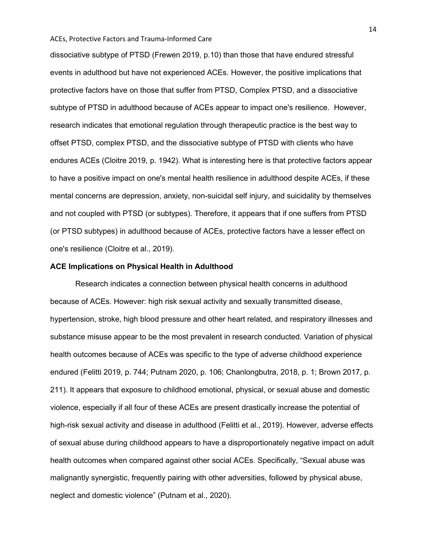dissociative subtype of PTSD (Frewen 2019, p.10) than those that have endured stressful events in adulthood but have not experienced ACEs. However, the positive implications that protective factors have on those that suffer from PTSD, Complex PTSD, and a dissociative subtype of PTSD in adulthood because of ACEs appear to impact one's resilience. However, research indicates that emotional regulation through therapeutic practice is the best way to offset PTSD, complex PTSD, and the dissociative subtype of PTSD with clients who have endures ACEs (Cloitre 2019, p. 1942). What is interesting here is that protective factors appear to have a positive impact on one's mental health resilience in adulthood despite ACEs, if these mental concerns are depression, anxiety, non-suicidal self injury, and suicidality by themselves and not coupled with PTSD (or subtypes). Therefore, it appears that if one suffers from PTSD (or PTSD subtypes) in adulthood because of ACEs, protective factors have a lesser effect on one's resilience (Cloitre et al., 2019).

## **ACE Implications on Physical Health in Adulthood**

Research indicates a connection between physical health concerns in adulthood because of ACEs. However: high risk sexual activity and sexually transmitted disease, hypertension, stroke, high blood pressure and other heart related, and respiratory illnesses and substance misuse appear to be the most prevalent in research conducted. Variation of physical health outcomes because of ACEs was specific to the type of adverse childhood experience endured (Felitti 2019, p. 744; Putnam 2020, p. 106; Chanlongbutra, 2018, p. 1; Brown 2017, p. 211). It appears that exposure to childhood emotional, physical, or sexual abuse and domestic violence, especially if all four of these ACEs are present drastically increase the potential of high-risk sexual activity and disease in adulthood (Felitti et al., 2019). However, adverse effects of sexual abuse during childhood appears to have a disproportionately negative impact on adult health outcomes when compared against other social ACEs. Specifically, "Sexual abuse was malignantly synergistic, frequently pairing with other adversities, followed by physical abuse, neglect and domestic violence" (Putnam et al., 2020).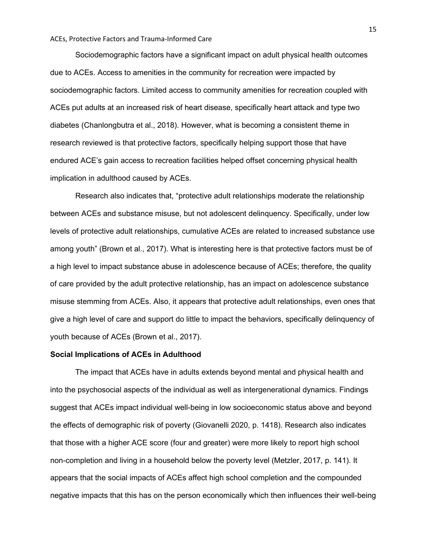Sociodemographic factors have a significant impact on adult physical health outcomes due to ACEs. Access to amenities in the community for recreation were impacted by sociodemographic factors. Limited access to community amenities for recreation coupled with ACEs put adults at an increased risk of heart disease, specifically heart attack and type two diabetes (Chanlongbutra et al., 2018). However, what is becoming a consistent theme in research reviewed is that protective factors, specifically helping support those that have endured ACE's gain access to recreation facilities helped offset concerning physical health implication in adulthood caused by ACEs.

Research also indicates that, "protective adult relationships moderate the relationship between ACEs and substance misuse, but not adolescent delinquency. Specifically, under low levels of protective adult relationships, cumulative ACEs are related to increased substance use among youth" (Brown et al., 2017). What is interesting here is that protective factors must be of a high level to impact substance abuse in adolescence because of ACEs; therefore, the quality of care provided by the adult protective relationship, has an impact on adolescence substance misuse stemming from ACEs. Also, it appears that protective adult relationships, even ones that give a high level of care and support do little to impact the behaviors, specifically delinquency of youth because of ACEs (Brown et al., 2017).

## **Social Implications of ACEs in Adulthood**

The impact that ACEs have in adults extends beyond mental and physical health and into the psychosocial aspects of the individual as well as intergenerational dynamics. Findings suggest that ACEs impact individual well-being in low socioeconomic status above and beyond the effects of demographic risk of poverty (Giovanelli 2020, p. 1418). Research also indicates that those with a higher ACE score (four and greater) were more likely to report high school non-completion and living in a household below the poverty level (Metzler, 2017, p. 141). It appears that the social impacts of ACEs affect high school completion and the compounded negative impacts that this has on the person economically which then influences their well-being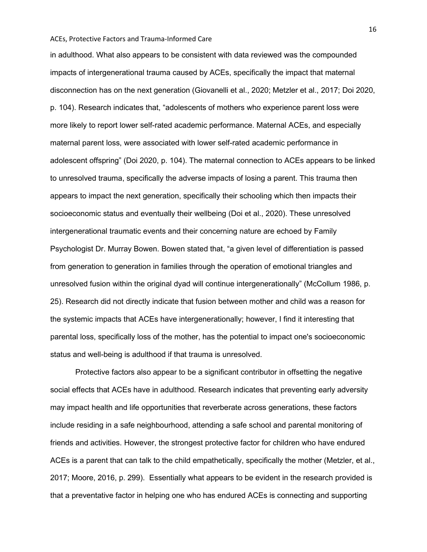in adulthood. What also appears to be consistent with data reviewed was the compounded impacts of intergenerational trauma caused by ACEs, specifically the impact that maternal disconnection has on the next generation (Giovanelli et al., 2020; Metzler et al., 2017; Doi 2020, p. 104). Research indicates that, "adolescents of mothers who experience parent loss were more likely to report lower self-rated academic performance. Maternal ACEs, and especially maternal parent loss, were associated with lower self-rated academic performance in adolescent offspring" (Doi 2020, p. 104). The maternal connection to ACEs appears to be linked to unresolved trauma, specifically the adverse impacts of losing a parent. This trauma then appears to impact the next generation, specifically their schooling which then impacts their socioeconomic status and eventually their wellbeing (Doi et al., 2020). These unresolved intergenerational traumatic events and their concerning nature are echoed by Family Psychologist Dr. Murray Bowen. Bowen stated that, "a given level of differentiation is passed from generation to generation in families through the operation of emotional triangles and unresolved fusion within the original dyad will continue intergenerationally" (McCollum 1986, p. 25). Research did not directly indicate that fusion between mother and child was a reason for the systemic impacts that ACEs have intergenerationally; however, I find it interesting that parental loss, specifically loss of the mother, has the potential to impact one's socioeconomic status and well-being is adulthood if that trauma is unresolved.

Protective factors also appear to be a significant contributor in offsetting the negative social effects that ACEs have in adulthood. Research indicates that preventing early adversity may impact health and life opportunities that reverberate across generations, these factors include residing in a safe neighbourhood, attending a safe school and parental monitoring of friends and activities. However, the strongest protective factor for children who have endured ACEs is a parent that can talk to the child empathetically, specifically the mother (Metzler, et al., 2017; Moore, 2016, p. 299). Essentially what appears to be evident in the research provided is that a preventative factor in helping one who has endured ACEs is connecting and supporting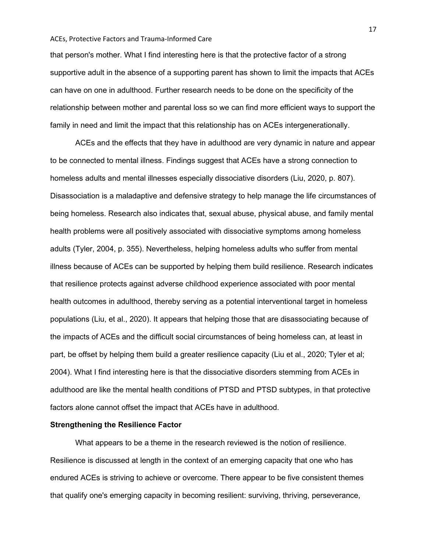that person's mother. What I find interesting here is that the protective factor of a strong supportive adult in the absence of a supporting parent has shown to limit the impacts that ACEs can have on one in adulthood. Further research needs to be done on the specificity of the relationship between mother and parental loss so we can find more efficient ways to support the family in need and limit the impact that this relationship has on ACEs intergenerationally.

ACEs and the effects that they have in adulthood are very dynamic in nature and appear to be connected to mental illness. Findings suggest that ACEs have a strong connection to homeless adults and mental illnesses especially dissociative disorders (Liu, 2020, p. 807). Disassociation is a maladaptive and defensive strategy to help manage the life circumstances of being homeless. Research also indicates that, sexual abuse, physical abuse, and family mental health problems were all positively associated with dissociative symptoms among homeless adults (Tyler, 2004, p. 355). Nevertheless, helping homeless adults who suffer from mental illness because of ACEs can be supported by helping them build resilience. Research indicates that resilience protects against adverse childhood experience associated with poor mental health outcomes in adulthood, thereby serving as a potential interventional target in homeless populations (Liu, et al., 2020). It appears that helping those that are disassociating because of the impacts of ACEs and the difficult social circumstances of being homeless can, at least in part, be offset by helping them build a greater resilience capacity (Liu et al., 2020; Tyler et al; 2004). What I find interesting here is that the dissociative disorders stemming from ACEs in adulthood are like the mental health conditions of PTSD and PTSD subtypes, in that protective factors alone cannot offset the impact that ACEs have in adulthood.

## **Strengthening the Resilience Factor**

What appears to be a theme in the research reviewed is the notion of resilience. Resilience is discussed at length in the context of an emerging capacity that one who has endured ACEs is striving to achieve or overcome. There appear to be five consistent themes that qualify one's emerging capacity in becoming resilient: surviving, thriving, perseverance,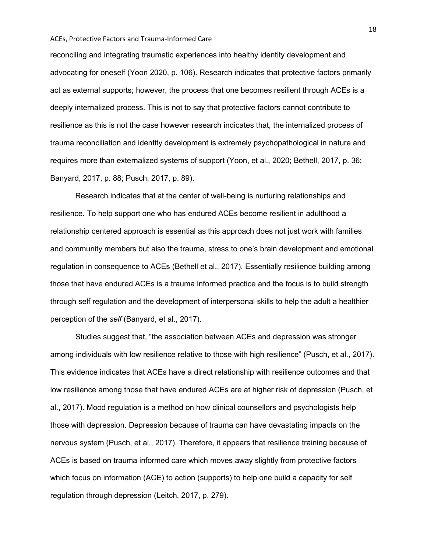reconciling and integrating traumatic experiences into healthy identity development and advocating for oneself (Yoon 2020, p. 106). Research indicates that protective factors primarily act as external supports; however, the process that one becomes resilient through ACEs is a deeply internalized process. This is not to say that protective factors cannot contribute to resilience as this is not the case however research indicates that, the internalized process of trauma reconciliation and identity development is extremely psychopathological in nature and requires more than externalized systems of support (Yoon, et al., 2020; Bethell, 2017, p. 36; Banyard, 2017, p. 88; Pusch, 2017, p. 89).

Research indicates that at the center of well-being is nurturing relationships and resilience. To help support one who has endured ACEs become resilient in adulthood a relationship centered approach is essential as this approach does not just work with families and community members but also the trauma, stress to one's brain development and emotional regulation in consequence to ACEs (Bethell et al., 2017). Essentially resilience building among those that have endured ACEs is a trauma informed practice and the focus is to build strength through self regulation and the development of interpersonal skills to help the adult a healthier perception of the *self* (Banyard, et al., 2017).

Studies suggest that, "the association between ACEs and depression was stronger among individuals with low resilience relative to those with high resilience" (Pusch, et al., 2017). This evidence indicates that ACEs have a direct relationship with resilience outcomes and that low resilience among those that have endured ACEs are at higher risk of depression (Pusch, et al., 2017). Mood regulation is a method on how clinical counsellors and psychologists help those with depression. Depression because of trauma can have devastating impacts on the nervous system (Pusch, et al., 2017). Therefore, it appears that resilience training because of ACEs is based on trauma informed care which moves away slightly from protective factors which focus on information (ACE) to action (supports) to help one build a capacity for self regulation through depression (Leitch, 2017, p. 279).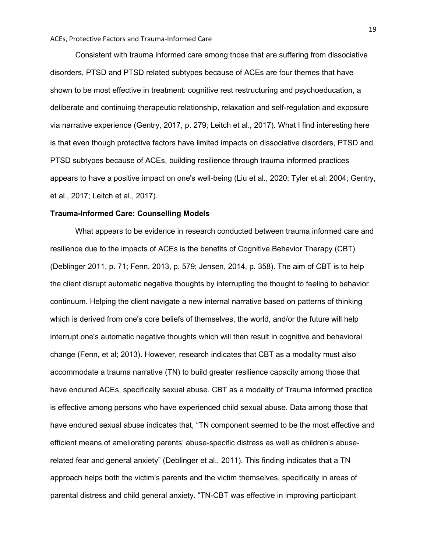Consistent with trauma informed care among those that are suffering from dissociative disorders, PTSD and PTSD related subtypes because of ACEs are four themes that have shown to be most effective in treatment: cognitive rest restructuring and psychoeducation, a deliberate and continuing therapeutic relationship, relaxation and self-regulation and exposure via narrative experience (Gentry, 2017, p. 279; Leitch et al., 2017). What I find interesting here is that even though protective factors have limited impacts on dissociative disorders, PTSD and PTSD subtypes because of ACEs, building resilience through trauma informed practices appears to have a positive impact on one's well-being (Liu et al., 2020; Tyler et al; 2004; Gentry, et al., 2017; Leitch et al., 2017).

#### **Trauma-Informed Care: Counselling Models**

What appears to be evidence in research conducted between trauma informed care and resilience due to the impacts of ACEs is the benefits of Cognitive Behavior Therapy (CBT) (Deblinger 2011, p. 71; Fenn, 2013, p. 579; Jensen, 2014, p. 358). The aim of CBT is to help the client disrupt automatic negative thoughts by interrupting the thought to feeling to behavior continuum. Helping the client navigate a new internal narrative based on patterns of thinking which is derived from one's core beliefs of themselves, the world, and/or the future will help interrupt one's automatic negative thoughts which will then result in cognitive and behavioral change (Fenn, et al; 2013). However, research indicates that CBT as a modality must also accommodate a trauma narrative (TN) to build greater resilience capacity among those that have endured ACEs, specifically sexual abuse. CBT as a modality of Trauma informed practice is effective among persons who have experienced child sexual abuse. Data among those that have endured sexual abuse indicates that, "TN component seemed to be the most effective and efficient means of ameliorating parents' abuse-specific distress as well as children's abuserelated fear and general anxiety" (Deblinger et al., 2011). This finding indicates that a TN approach helps both the victim's parents and the victim themselves, specifically in areas of parental distress and child general anxiety. "TN-CBT was effective in improving participant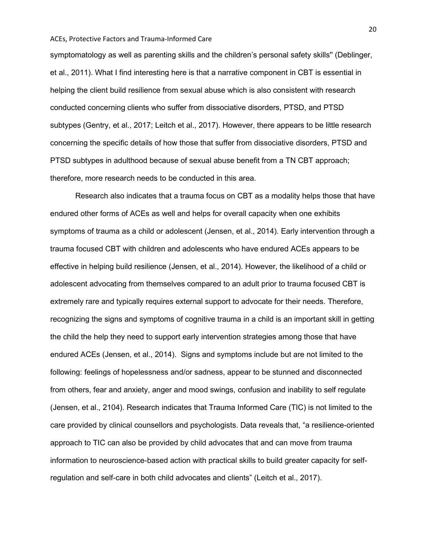symptomatology as well as parenting skills and the children's personal safety skills'' (Deblinger, et al., 2011). What I find interesting here is that a narrative component in CBT is essential in helping the client build resilience from sexual abuse which is also consistent with research conducted concerning clients who suffer from dissociative disorders, PTSD, and PTSD subtypes (Gentry, et al., 2017; Leitch et al., 2017). However, there appears to be little research concerning the specific details of how those that suffer from dissociative disorders, PTSD and PTSD subtypes in adulthood because of sexual abuse benefit from a TN CBT approach; therefore, more research needs to be conducted in this area.

Research also indicates that a trauma focus on CBT as a modality helps those that have endured other forms of ACEs as well and helps for overall capacity when one exhibits symptoms of trauma as a child or adolescent (Jensen, et al., 2014). Early intervention through a trauma focused CBT with children and adolescents who have endured ACEs appears to be effective in helping build resilience (Jensen, et al., 2014). However, the likelihood of a child or adolescent advocating from themselves compared to an adult prior to trauma focused CBT is extremely rare and typically requires external support to advocate for their needs. Therefore, recognizing the signs and symptoms of cognitive trauma in a child is an important skill in getting the child the help they need to support early intervention strategies among those that have endured ACEs (Jensen, et al., 2014). Signs and symptoms include but are not limited to the following: feelings of hopelessness and/or sadness, appear to be stunned and disconnected from others, fear and anxiety, anger and mood swings, confusion and inability to self regulate (Jensen, et al., 2104). Research indicates that Trauma Informed Care (TIC) is not limited to the care provided by clinical counsellors and psychologists. Data reveals that, "a resilience-oriented approach to TIC can also be provided by child advocates that and can move from trauma information to neuroscience-based action with practical skills to build greater capacity for selfregulation and self-care in both child advocates and clients" (Leitch et al., 2017).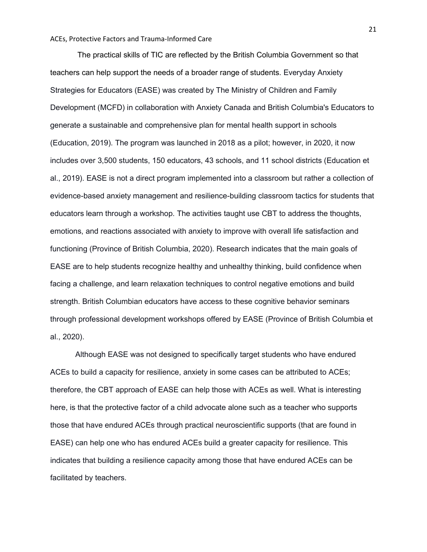The practical skills of TIC are reflected by the British Columbia Government so that teachers can help support the needs of a broader range of students. Everyday Anxiety Strategies for Educators (EASE) was created by The Ministry of Children and Family Development (MCFD) in collaboration with Anxiety Canada and British Columbia's Educators to generate a sustainable and comprehensive plan for mental health support in schools (Education, 2019). The program was launched in 2018 as a pilot; however, in 2020, it now includes over 3,500 students, 150 educators, 43 schools, and 11 school districts (Education et al., 2019). EASE is not a direct program implemented into a classroom but rather a collection of evidence-based anxiety management and resilience-building classroom tactics for students that educators learn through a workshop. The activities taught use CBT to address the thoughts, emotions, and reactions associated with anxiety to improve with overall life satisfaction and functioning (Province of British Columbia, 2020). Research indicates that the main goals of EASE are to help students recognize healthy and unhealthy thinking, build confidence when facing a challenge, and learn relaxation techniques to control negative emotions and build strength. British Columbian educators have access to these cognitive behavior seminars through professional development workshops offered by EASE (Province of British Columbia et al., 2020).

Although EASE was not designed to specifically target students who have endured ACEs to build a capacity for resilience, anxiety in some cases can be attributed to ACEs; therefore, the CBT approach of EASE can help those with ACEs as well. What is interesting here, is that the protective factor of a child advocate alone such as a teacher who supports those that have endured ACEs through practical neuroscientific supports (that are found in EASE) can help one who has endured ACEs build a greater capacity for resilience. This indicates that building a resilience capacity among those that have endured ACEs can be facilitated by teachers.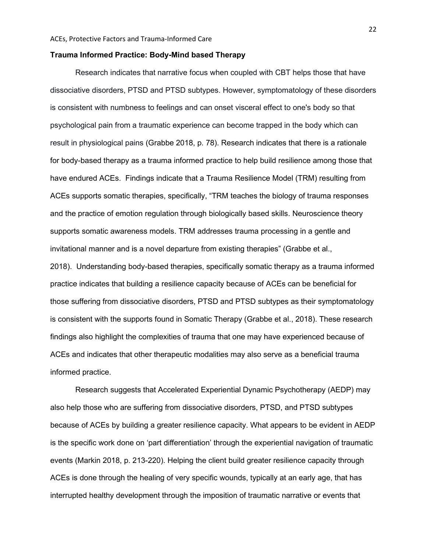## **Trauma Informed Practice: Body-Mind based Therapy**

Research indicates that narrative focus when coupled with CBT helps those that have dissociative disorders, PTSD and PTSD subtypes. However, symptomatology of these disorders is consistent with numbness to feelings and can onset visceral effect to one's body so that psychological pain from a traumatic experience can become trapped in the body which can result in physiological pains (Grabbe 2018, p. 78). Research indicates that there is a rationale for body-based therapy as a trauma informed practice to help build resilience among those that have endured ACEs. Findings indicate that a Trauma Resilience Model (TRM) resulting from ACEs supports somatic therapies, specifically, "TRM teaches the biology of trauma responses and the practice of emotion regulation through biologically based skills. Neuroscience theory supports somatic awareness models. TRM addresses trauma processing in a gentle and invitational manner and is a novel departure from existing therapies" (Grabbe et al., 2018). Understanding body-based therapies, specifically somatic therapy as a trauma informed practice indicates that building a resilience capacity because of ACEs can be beneficial for those suffering from dissociative disorders, PTSD and PTSD subtypes as their symptomatology is consistent with the supports found in Somatic Therapy (Grabbe et al., 2018). These research findings also highlight the complexities of trauma that one may have experienced because of ACEs and indicates that other therapeutic modalities may also serve as a beneficial trauma informed practice.

Research suggests that Accelerated Experiential Dynamic Psychotherapy (AEDP) may also help those who are suffering from dissociative disorders, PTSD, and PTSD subtypes because of ACEs by building a greater resilience capacity. What appears to be evident in AEDP is the specific work done on 'part differentiation' through the experiential navigation of traumatic events (Markin 2018, p. 213-220). Helping the client build greater resilience capacity through ACEs is done through the healing of very specific wounds, typically at an early age, that has interrupted healthy development through the imposition of traumatic narrative or events that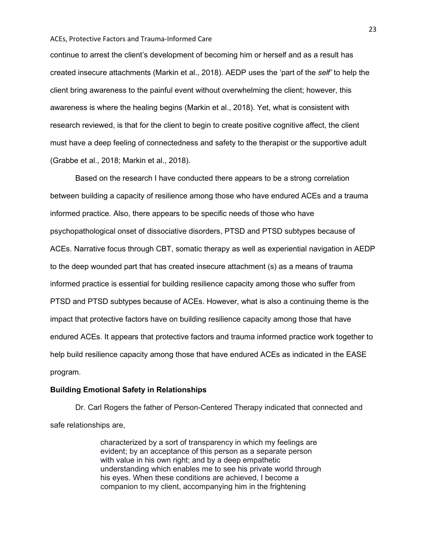continue to arrest the client's development of becoming him or herself and as a result has created insecure attachments (Markin et al., 2018). AEDP uses the 'part of the *self'* to help the client bring awareness to the painful event without overwhelming the client; however, this awareness is where the healing begins (Markin et al., 2018). Yet, what is consistent with research reviewed, is that for the client to begin to create positive cognitive affect, the client must have a deep feeling of connectedness and safety to the therapist or the supportive adult (Grabbe et al., 2018; Markin et al., 2018).

Based on the research I have conducted there appears to be a strong correlation between building a capacity of resilience among those who have endured ACEs and a trauma informed practice. Also, there appears to be specific needs of those who have psychopathological onset of dissociative disorders, PTSD and PTSD subtypes because of ACEs. Narrative focus through CBT, somatic therapy as well as experiential navigation in AEDP to the deep wounded part that has created insecure attachment (s) as a means of trauma informed practice is essential for building resilience capacity among those who suffer from PTSD and PTSD subtypes because of ACEs. However, what is also a continuing theme is the impact that protective factors have on building resilience capacity among those that have endured ACEs. It appears that protective factors and trauma informed practice work together to help build resilience capacity among those that have endured ACEs as indicated in the EASE program.

#### **Building Emotional Safety in Relationships**

Dr. Carl Rogers the father of Person-Centered Therapy indicated that connected and safe relationships are,

> characterized by a sort of transparency in which my feelings are evident; by an acceptance of this person as a separate person with value in his own right; and by a deep empathetic understanding which enables me to see his private world through his eyes. When these conditions are achieved, I become a companion to my client, accompanying him in the frightening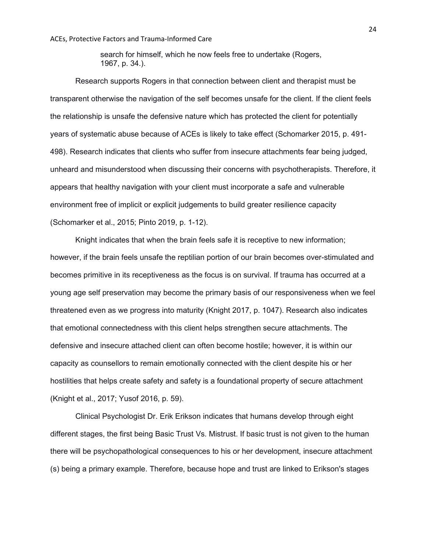search for himself, which he now feels free to undertake (Rogers, 1967, p. 34.).

Research supports Rogers in that connection between client and therapist must be transparent otherwise the navigation of the self becomes unsafe for the client. If the client feels the relationship is unsafe the defensive nature which has protected the client for potentially years of systematic abuse because of ACEs is likely to take effect (Schomarker 2015, p. 491- 498). Research indicates that clients who suffer from insecure attachments fear being judged, unheard and misunderstood when discussing their concerns with psychotherapists. Therefore, it appears that healthy navigation with your client must incorporate a safe and vulnerable environment free of implicit or explicit judgements to build greater resilience capacity (Schomarker et al., 2015; Pinto 2019, p. 1-12).

Knight indicates that when the brain feels safe it is receptive to new information; however, if the brain feels unsafe the reptilian portion of our brain becomes over-stimulated and becomes primitive in its receptiveness as the focus is on survival. If trauma has occurred at a young age self preservation may become the primary basis of our responsiveness when we feel threatened even as we progress into maturity (Knight 2017, p. 1047). Research also indicates that emotional connectedness with this client helps strengthen secure attachments. The defensive and insecure attached client can often become hostile; however, it is within our capacity as counsellors to remain emotionally connected with the client despite his or her hostilities that helps create safety and safety is a foundational property of secure attachment (Knight et al., 2017; Yusof 2016, p. 59).

Clinical Psychologist Dr. Erik Erikson indicates that humans develop through eight different stages, the first being Basic Trust Vs. Mistrust. If basic trust is not given to the human there will be psychopathological consequences to his or her development, insecure attachment (s) being a primary example. Therefore, because hope and trust are linked to Erikson's stages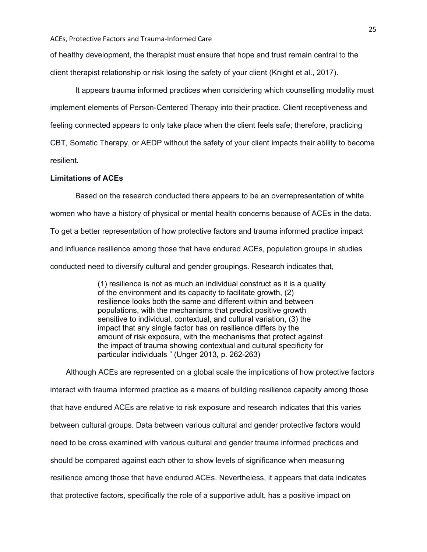of healthy development, the therapist must ensure that hope and trust remain central to the client therapist relationship or risk losing the safety of your client (Knight et al., 2017).

It appears trauma informed practices when considering which counselling modality must implement elements of Person-Centered Therapy into their practice. Client receptiveness and feeling connected appears to only take place when the client feels safe; therefore, practicing CBT, Somatic Therapy, or AEDP without the safety of your client impacts their ability to become resilient.

## **Limitations of ACEs**

Based on the research conducted there appears to be an overrepresentation of white women who have a history of physical or mental health concerns because of ACEs in the data. To get a better representation of how protective factors and trauma informed practice impact and influence resilience among those that have endured ACEs, population groups in studies conducted need to diversify cultural and gender groupings. Research indicates that,

> (1) resilience is not as much an individual construct as it is a quality of the environment and its capacity to facilitate growth, (2) resilience looks both the same and different within and between populations, with the mechanisms that predict positive growth sensitive to individual, contextual, and cultural variation, (3) the impact that any single factor has on resilience differs by the amount of risk exposure, with the mechanisms that protect against the impact of trauma showing contextual and cultural specificity for particular individuals " (Unger 2013, p. 262-263)

Although ACEs are represented on a global scale the implications of how protective factors interact with trauma informed practice as a means of building resilience capacity among those that have endured ACEs are relative to risk exposure and research indicates that this varies between cultural groups. Data between various cultural and gender protective factors would need to be cross examined with various cultural and gender trauma informed practices and should be compared against each other to show levels of significance when measuring resilience among those that have endured ACEs. Nevertheless, it appears that data indicates that protective factors, specifically the role of a supportive adult, has a positive impact on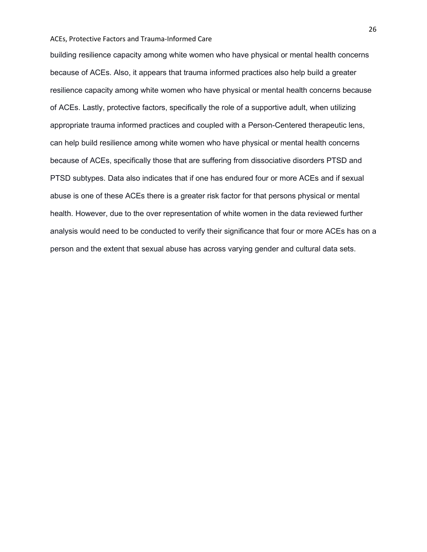building resilience capacity among white women who have physical or mental health concerns because of ACEs. Also, it appears that trauma informed practices also help build a greater resilience capacity among white women who have physical or mental health concerns because of ACEs. Lastly, protective factors, specifically the role of a supportive adult, when utilizing appropriate trauma informed practices and coupled with a Person-Centered therapeutic lens, can help build resilience among white women who have physical or mental health concerns because of ACEs, specifically those that are suffering from dissociative disorders PTSD and PTSD subtypes. Data also indicates that if one has endured four or more ACEs and if sexual abuse is one of these ACEs there is a greater risk factor for that persons physical or mental health. However, due to the over representation of white women in the data reviewed further analysis would need to be conducted to verify their significance that four or more ACEs has on a person and the extent that sexual abuse has across varying gender and cultural data sets.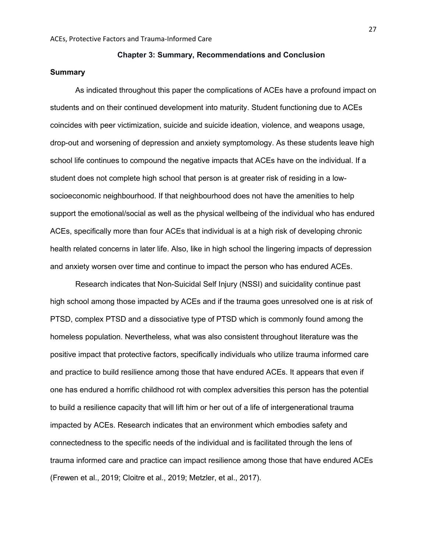## **Chapter 3: Summary, Recommendations and Conclusion**

## **Summary**

As indicated throughout this paper the complications of ACEs have a profound impact on students and on their continued development into maturity. Student functioning due to ACEs coincides with peer victimization, suicide and suicide ideation, violence, and weapons usage, drop-out and worsening of depression and anxiety symptomology. As these students leave high school life continues to compound the negative impacts that ACEs have on the individual. If a student does not complete high school that person is at greater risk of residing in a lowsocioeconomic neighbourhood. If that neighbourhood does not have the amenities to help support the emotional/social as well as the physical wellbeing of the individual who has endured ACEs, specifically more than four ACEs that individual is at a high risk of developing chronic health related concerns in later life. Also, like in high school the lingering impacts of depression and anxiety worsen over time and continue to impact the person who has endured ACEs.

Research indicates that Non-Suicidal Self Injury (NSSI) and suicidality continue past high school among those impacted by ACEs and if the trauma goes unresolved one is at risk of PTSD, complex PTSD and a dissociative type of PTSD which is commonly found among the homeless population. Nevertheless, what was also consistent throughout literature was the positive impact that protective factors, specifically individuals who utilize trauma informed care and practice to build resilience among those that have endured ACEs. It appears that even if one has endured a horrific childhood rot with complex adversities this person has the potential to build a resilience capacity that will lift him or her out of a life of intergenerational trauma impacted by ACEs. Research indicates that an environment which embodies safety and connectedness to the specific needs of the individual and is facilitated through the lens of trauma informed care and practice can impact resilience among those that have endured ACEs (Frewen et al., 2019; Cloitre et al., 2019; Metzler, et al., 2017).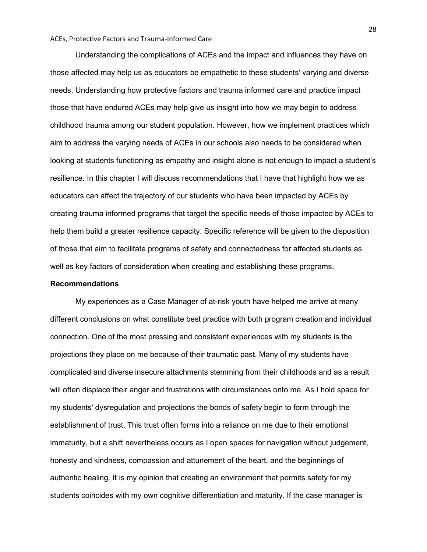Understanding the complications of ACEs and the impact and influences they have on those affected may help us as educators be empathetic to these students' varying and diverse needs. Understanding how protective factors and trauma informed care and practice impact those that have endured ACEs may help give us insight into how we may begin to address childhood trauma among our student population. However, how we implement practices which aim to address the varying needs of ACEs in our schools also needs to be considered when looking at students functioning as empathy and insight alone is not enough to impact a student's resilience. In this chapter I will discuss recommendations that I have that highlight how we as educators can affect the trajectory of our students who have been impacted by ACEs by creating trauma informed programs that target the specific needs of those impacted by ACEs to help them build a greater resilience capacity. Specific reference will be given to the disposition of those that aim to facilitate programs of safety and connectedness for affected students as well as key factors of consideration when creating and establishing these programs.

## **Recommendations**

My experiences as a Case Manager of at-risk youth have helped me arrive at many different conclusions on what constitute best practice with both program creation and individual connection. One of the most pressing and consistent experiences with my students is the projections they place on me because of their traumatic past. Many of my students have complicated and diverse insecure attachments stemming from their childhoods and as a result will often displace their anger and frustrations with circumstances onto me. As I hold space for my students' dysregulation and projections the bonds of safety begin to form through the establishment of trust. This trust often forms into a reliance on me due to their emotional immaturity, but a shift nevertheless occurs as I open spaces for navigation without judgement, honesty and kindness, compassion and attunement of the heart, and the beginnings of authentic healing. It is my opinion that creating an environment that permits safety for my students coincides with my own cognitive differentiation and maturity. If the case manager is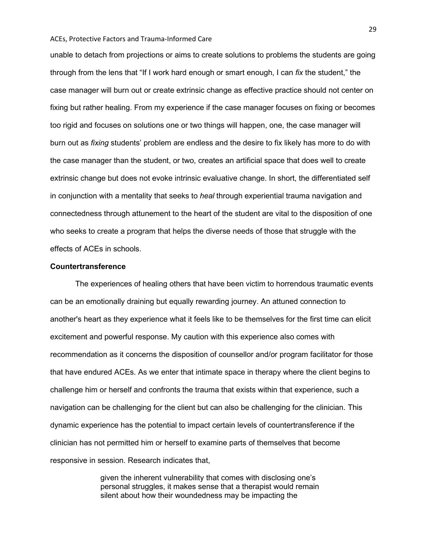unable to detach from projections or aims to create solutions to problems the students are going through from the lens that "If I work hard enough or smart enough, I can *fix* the student," the case manager will burn out or create extrinsic change as effective practice should not center on fixing but rather healing. From my experience if the case manager focuses on fixing or becomes too rigid and focuses on solutions one or two things will happen, one, the case manager will burn out as *fixing* students' problem are endless and the desire to fix likely has more to do with the case manager than the student, or two, creates an artificial space that does well to create extrinsic change but does not evoke intrinsic evaluative change. In short, the differentiated self in conjunction with a mentality that seeks to *heal* through experiential trauma navigation and connectedness through attunement to the heart of the student are vital to the disposition of one who seeks to create a program that helps the diverse needs of those that struggle with the effects of ACEs in schools.

## **Countertransference**

The experiences of healing others that have been victim to horrendous traumatic events can be an emotionally draining but equally rewarding journey. An attuned connection to another's heart as they experience what it feels like to be themselves for the first time can elicit excitement and powerful response. My caution with this experience also comes with recommendation as it concerns the disposition of counsellor and/or program facilitator for those that have endured ACEs. As we enter that intimate space in therapy where the client begins to challenge him or herself and confronts the trauma that exists within that experience, such a navigation can be challenging for the client but can also be challenging for the clinician. This dynamic experience has the potential to impact certain levels of countertransference if the clinician has not permitted him or herself to examine parts of themselves that become responsive in session. Research indicates that,

> given the inherent vulnerability that comes with disclosing one's personal struggles, it makes sense that a therapist would remain silent about how their woundedness may be impacting the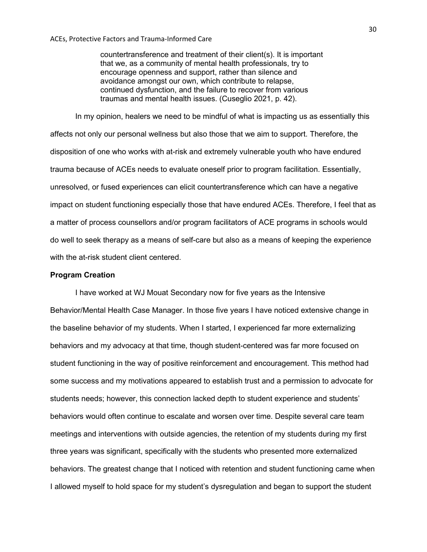countertransference and treatment of their client(s). It is important that we, as a community of mental health professionals, try to encourage openness and support, rather than silence and avoidance amongst our own, which contribute to relapse, continued dysfunction, and the failure to recover from various traumas and mental health issues. (Cuseglio 2021, p. 42).

In my opinion, healers we need to be mindful of what is impacting us as essentially this affects not only our personal wellness but also those that we aim to support. Therefore, the disposition of one who works with at-risk and extremely vulnerable youth who have endured trauma because of ACEs needs to evaluate oneself prior to program facilitation. Essentially, unresolved, or fused experiences can elicit countertransference which can have a negative impact on student functioning especially those that have endured ACEs. Therefore, I feel that as a matter of process counsellors and/or program facilitators of ACE programs in schools would do well to seek therapy as a means of self-care but also as a means of keeping the experience with the at-risk student client centered.

#### **Program Creation**

I have worked at WJ Mouat Secondary now for five years as the Intensive Behavior/Mental Health Case Manager. In those five years I have noticed extensive change in the baseline behavior of my students. When I started, I experienced far more externalizing behaviors and my advocacy at that time, though student-centered was far more focused on student functioning in the way of positive reinforcement and encouragement. This method had some success and my motivations appeared to establish trust and a permission to advocate for students needs; however, this connection lacked depth to student experience and students' behaviors would often continue to escalate and worsen over time. Despite several care team meetings and interventions with outside agencies, the retention of my students during my first three years was significant, specifically with the students who presented more externalized behaviors. The greatest change that I noticed with retention and student functioning came when I allowed myself to hold space for my student's dysregulation and began to support the student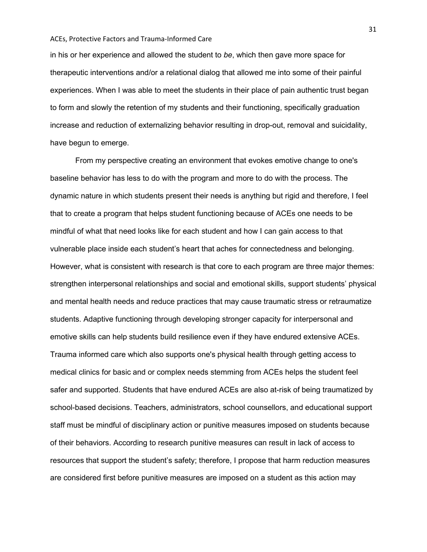in his or her experience and allowed the student to *be*, which then gave more space for therapeutic interventions and/or a relational dialog that allowed me into some of their painful experiences. When I was able to meet the students in their place of pain authentic trust began to form and slowly the retention of my students and their functioning, specifically graduation increase and reduction of externalizing behavior resulting in drop-out, removal and suicidality, have begun to emerge.

From my perspective creating an environment that evokes emotive change to one's baseline behavior has less to do with the program and more to do with the process. The dynamic nature in which students present their needs is anything but rigid and therefore, I feel that to create a program that helps student functioning because of ACEs one needs to be mindful of what that need looks like for each student and how I can gain access to that vulnerable place inside each student's heart that aches for connectedness and belonging. However, what is consistent with research is that core to each program are three major themes: strengthen interpersonal relationships and social and emotional skills, support students' physical and mental health needs and reduce practices that may cause traumatic stress or retraumatize students. Adaptive functioning through developing stronger capacity for interpersonal and emotive skills can help students build resilience even if they have endured extensive ACEs. Trauma informed care which also supports one's physical health through getting access to medical clinics for basic and or complex needs stemming from ACEs helps the student feel safer and supported. Students that have endured ACEs are also at-risk of being traumatized by school-based decisions. Teachers, administrators, school counsellors, and educational support staff must be mindful of disciplinary action or punitive measures imposed on students because of their behaviors. According to research punitive measures can result in lack of access to resources that support the student's safety; therefore, I propose that harm reduction measures are considered first before punitive measures are imposed on a student as this action may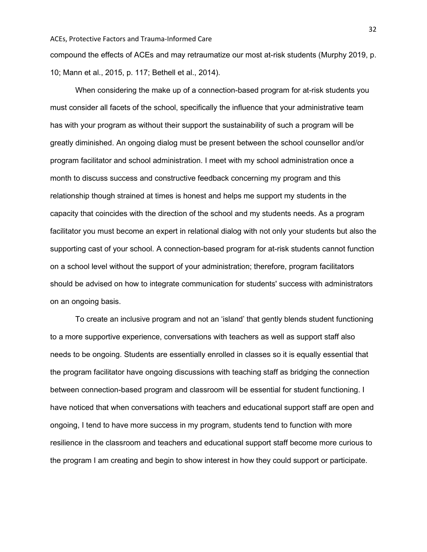compound the effects of ACEs and may retraumatize our most at-risk students (Murphy 2019, p. 10; Mann et al., 2015, p. 117; Bethell et al., 2014).

When considering the make up of a connection-based program for at-risk students you must consider all facets of the school, specifically the influence that your administrative team has with your program as without their support the sustainability of such a program will be greatly diminished. An ongoing dialog must be present between the school counsellor and/or program facilitator and school administration. I meet with my school administration once a month to discuss success and constructive feedback concerning my program and this relationship though strained at times is honest and helps me support my students in the capacity that coincides with the direction of the school and my students needs. As a program facilitator you must become an expert in relational dialog with not only your students but also the supporting cast of your school. A connection-based program for at-risk students cannot function on a school level without the support of your administration; therefore, program facilitators should be advised on how to integrate communication for students' success with administrators on an ongoing basis.

To create an inclusive program and not an 'island' that gently blends student functioning to a more supportive experience, conversations with teachers as well as support staff also needs to be ongoing. Students are essentially enrolled in classes so it is equally essential that the program facilitator have ongoing discussions with teaching staff as bridging the connection between connection-based program and classroom will be essential for student functioning. I have noticed that when conversations with teachers and educational support staff are open and ongoing, I tend to have more success in my program, students tend to function with more resilience in the classroom and teachers and educational support staff become more curious to the program I am creating and begin to show interest in how they could support or participate.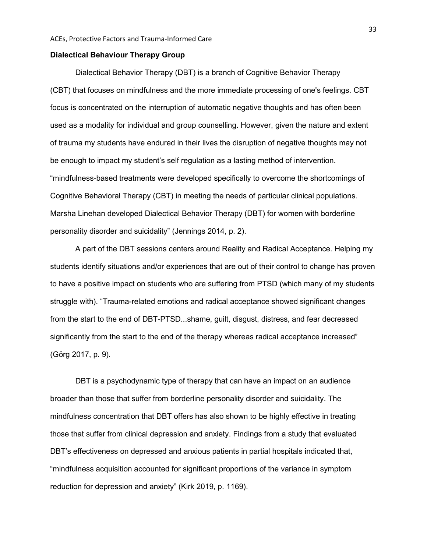#### **Dialectical Behaviour Therapy Group**

Dialectical Behavior Therapy (DBT) is a branch of Cognitive Behavior Therapy (CBT) that focuses on mindfulness and the more immediate processing of one's feelings. CBT focus is concentrated on the interruption of automatic negative thoughts and has often been used as a modality for individual and group counselling. However, given the nature and extent of trauma my students have endured in their lives the disruption of negative thoughts may not be enough to impact my student's self regulation as a lasting method of intervention. "mindfulness-based treatments were developed specifically to overcome the shortcomings of Cognitive Behavioral Therapy (CBT) in meeting the needs of particular clinical populations. Marsha Linehan developed Dialectical Behavior Therapy (DBT) for women with borderline personality disorder and suicidality" (Jennings 2014, p. 2).

A part of the DBT sessions centers around Reality and Radical Acceptance. Helping my students identify situations and/or experiences that are out of their control to change has proven to have a positive impact on students who are suffering from PTSD (which many of my students struggle with). "Trauma-related emotions and radical acceptance showed significant changes from the start to the end of DBT-PTSD...shame, guilt, disgust, distress, and fear decreased significantly from the start to the end of the therapy whereas radical acceptance increased" (Görg 2017, p. 9).

DBT is a psychodynamic type of therapy that can have an impact on an audience broader than those that suffer from borderline personality disorder and suicidality. The mindfulness concentration that DBT offers has also shown to be highly effective in treating those that suffer from clinical depression and anxiety. Findings from a study that evaluated DBT's effectiveness on depressed and anxious patients in partial hospitals indicated that, "mindfulness acquisition accounted for significant proportions of the variance in symptom reduction for depression and anxiety" (Kirk 2019, p. 1169).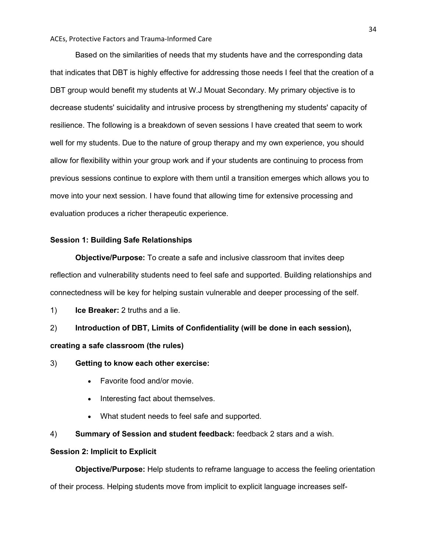Based on the similarities of needs that my students have and the corresponding data that indicates that DBT is highly effective for addressing those needs I feel that the creation of a DBT group would benefit my students at W.J Mouat Secondary. My primary objective is to decrease students' suicidality and intrusive process by strengthening my students' capacity of resilience. The following is a breakdown of seven sessions I have created that seem to work well for my students. Due to the nature of group therapy and my own experience, you should allow for flexibility within your group work and if your students are continuing to process from previous sessions continue to explore with them until a transition emerges which allows you to move into your next session. I have found that allowing time for extensive processing and evaluation produces a richer therapeutic experience.

## **Session 1: Building Safe Relationships**

**Objective/Purpose:** To create a safe and inclusive classroom that invites deep reflection and vulnerability students need to feel safe and supported. Building relationships and connectedness will be key for helping sustain vulnerable and deeper processing of the self.

1) **Ice Breaker:** 2 truths and a lie.

2) **Introduction of DBT, Limits of Confidentiality (will be done in each session), creating a safe classroom (the rules)**

- 3) **Getting to know each other exercise:**
	- Favorite food and/or movie.
	- Interesting fact about themselves.
	- What student needs to feel safe and supported.
- 4) **Summary of Session and student feedback:** feedback 2 stars and a wish.

## **Session 2: Implicit to Explicit**

**Objective/Purpose:** Help students to reframe language to access the feeling orientation of their process. Helping students move from implicit to explicit language increases self-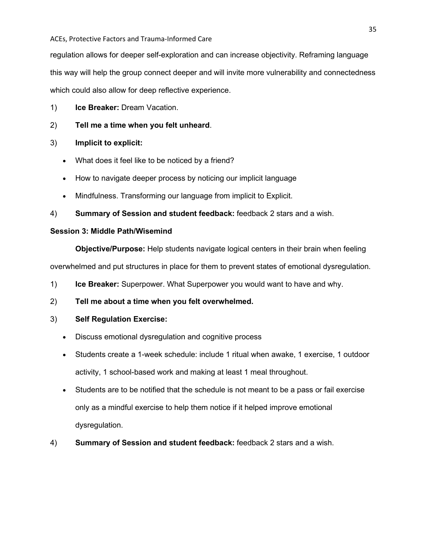regulation allows for deeper self-exploration and can increase objectivity. Reframing language this way will help the group connect deeper and will invite more vulnerability and connectedness which could also allow for deep reflective experience.

- 1) **Ice Breaker:** Dream Vacation.
- 2) **Tell me a time when you felt unheard**.
- 3) **Implicit to explicit:**
	- What does it feel like to be noticed by a friend?
	- How to navigate deeper process by noticing our implicit language
	- Mindfulness. Transforming our language from implicit to Explicit.
- 4) **Summary of Session and student feedback:** feedback 2 stars and a wish.

## **Session 3: Middle Path/Wisemind**

**Objective/Purpose:** Help students navigate logical centers in their brain when feeling

overwhelmed and put structures in place for them to prevent states of emotional dysregulation.

- 1) **Ice Breaker:** Superpower. What Superpower you would want to have and why.
- 2) **Tell me about a time when you felt overwhelmed.**

## 3) **Self Regulation Exercise:**

- Discuss emotional dysregulation and cognitive process
- Students create a 1-week schedule: include 1 ritual when awake, 1 exercise, 1 outdoor activity, 1 school-based work and making at least 1 meal throughout.
- Students are to be notified that the schedule is not meant to be a pass or fail exercise only as a mindful exercise to help them notice if it helped improve emotional dysregulation.
- 4) **Summary of Session and student feedback:** feedback 2 stars and a wish.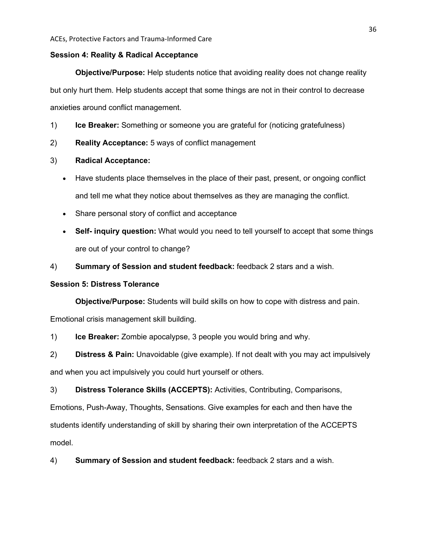#### **Session 4: Reality & Radical Acceptance**

**Objective/Purpose:** Help students notice that avoiding reality does not change reality but only hurt them. Help students accept that some things are not in their control to decrease anxieties around conflict management.

- 1) **Ice Breaker:** Something or someone you are grateful for (noticing gratefulness)
- 2) **Reality Acceptance:** 5 ways of conflict management

## 3) **Radical Acceptance:**

- Have students place themselves in the place of their past, present, or ongoing conflict and tell me what they notice about themselves as they are managing the conflict.
- Share personal story of conflict and acceptance
- **Self- inquiry question:** What would you need to tell yourself to accept that some things are out of your control to change?
- 4) **Summary of Session and student feedback:** feedback 2 stars and a wish.

## **Session 5: Distress Tolerance**

**Objective/Purpose:** Students will build skills on how to cope with distress and pain.

Emotional crisis management skill building.

1) **Ice Breaker:** Zombie apocalypse, 3 people you would bring and why.

2) **Distress & Pain:** Unavoidable (give example). If not dealt with you may act impulsively and when you act impulsively you could hurt yourself or others.

3) **Distress Tolerance Skills (ACCEPTS):** Activities, Contributing, Comparisons, Emotions, Push-Away, Thoughts, Sensations. Give examples for each and then have the students identify understanding of skill by sharing their own interpretation of the ACCEPTS model.

4) **Summary of Session and student feedback:** feedback 2 stars and a wish.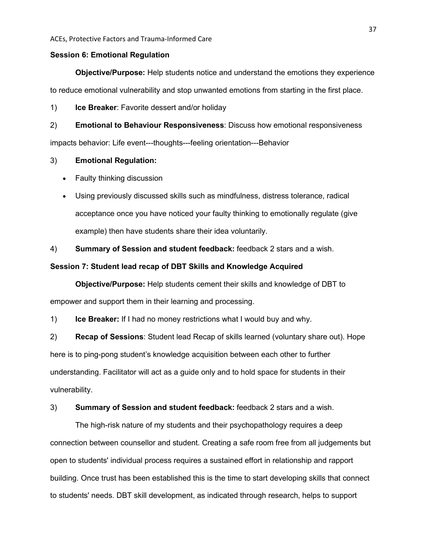#### **Session 6: Emotional Regulation**

**Objective/Purpose:** Help students notice and understand the emotions they experience to reduce emotional vulnerability and stop unwanted emotions from starting in the first place.

1) **Ice Breaker**: Favorite dessert and/or holiday

2) **Emotional to Behaviour Responsiveness**: Discuss how emotional responsiveness impacts behavior: Life event---thoughts---feeling orientation---Behavior

## 3) **Emotional Regulation:**

- Faulty thinking discussion
- Using previously discussed skills such as mindfulness, distress tolerance, radical acceptance once you have noticed your faulty thinking to emotionally regulate (give example) then have students share their idea voluntarily.

4) **Summary of Session and student feedback:** feedback 2 stars and a wish.

## **Session 7: Student lead recap of DBT Skills and Knowledge Acquired**

**Objective/Purpose:** Help students cement their skills and knowledge of DBT to empower and support them in their learning and processing.

1) **Ice Breaker:** If I had no money restrictions what I would buy and why.

2) **Recap of Sessions**: Student lead Recap of skills learned (voluntary share out). Hope here is to ping-pong student's knowledge acquisition between each other to further understanding. Facilitator will act as a guide only and to hold space for students in their vulnerability.

3) **Summary of Session and student feedback:** feedback 2 stars and a wish.

The high-risk nature of my students and their psychopathology requires a deep connection between counsellor and student. Creating a safe room free from all judgements but open to students' individual process requires a sustained effort in relationship and rapport building. Once trust has been established this is the time to start developing skills that connect to students' needs. DBT skill development, as indicated through research, helps to support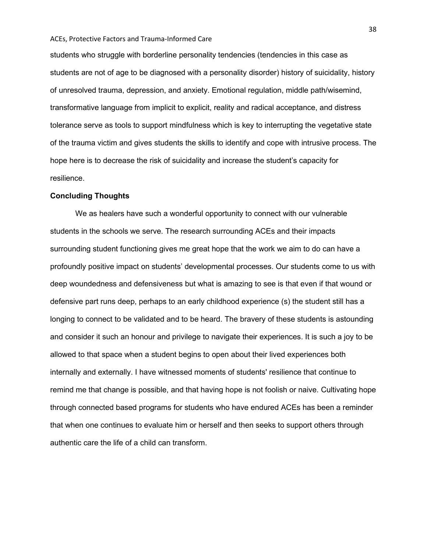students who struggle with borderline personality tendencies (tendencies in this case as students are not of age to be diagnosed with a personality disorder) history of suicidality, history of unresolved trauma, depression, and anxiety. Emotional regulation, middle path/wisemind, transformative language from implicit to explicit, reality and radical acceptance, and distress tolerance serve as tools to support mindfulness which is key to interrupting the vegetative state of the trauma victim and gives students the skills to identify and cope with intrusive process. The hope here is to decrease the risk of suicidality and increase the student's capacity for resilience.

## **Concluding Thoughts**

We as healers have such a wonderful opportunity to connect with our vulnerable students in the schools we serve. The research surrounding ACEs and their impacts surrounding student functioning gives me great hope that the work we aim to do can have a profoundly positive impact on students' developmental processes. Our students come to us with deep woundedness and defensiveness but what is amazing to see is that even if that wound or defensive part runs deep, perhaps to an early childhood experience (s) the student still has a longing to connect to be validated and to be heard. The bravery of these students is astounding and consider it such an honour and privilege to navigate their experiences. It is such a joy to be allowed to that space when a student begins to open about their lived experiences both internally and externally. I have witnessed moments of students' resilience that continue to remind me that change is possible, and that having hope is not foolish or naive. Cultivating hope through connected based programs for students who have endured ACEs has been a reminder that when one continues to evaluate him or herself and then seeks to support others through authentic care the life of a child can transform.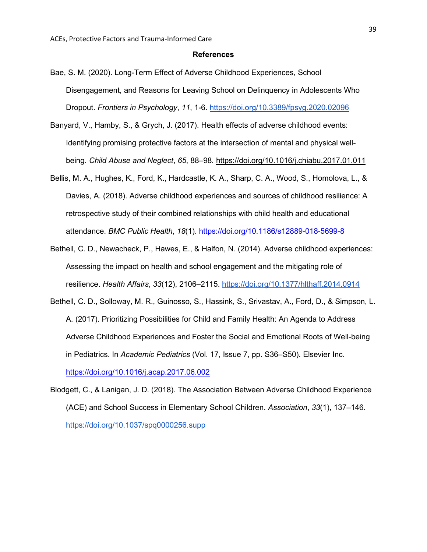#### **References**

- Bae, S. M. (2020). Long-Term Effect of Adverse Childhood Experiences, School Disengagement, and Reasons for Leaving School on Delinquency in Adolescents Who Dropout. *Frontiers in Psychology*, *11*, 1-6. <https://doi.org/10.3389/fpsyg.2020.02096>
- Banyard, V., Hamby, S., & Grych, J. (2017). Health effects of adverse childhood events: Identifying promising protective factors at the intersection of mental and physical wellbeing. *Child Abuse and Neglect*, *65*, 88–98. <https://doi.org/10.1016/j.chiabu.2017.01.011>
- Bellis, M. A., Hughes, K., Ford, K., Hardcastle, K. A., Sharp, C. A., Wood, S., Homolova, L., & Davies, A. (2018). Adverse childhood experiences and sources of childhood resilience: A retrospective study of their combined relationships with child health and educational attendance. *BMC Public Health*, *18*(1). <https://doi.org/10.1186/s12889-018-5699-8>
- Bethell, C. D., Newacheck, P., Hawes, E., & Halfon, N. (2014). Adverse childhood experiences: Assessing the impact on health and school engagement and the mitigating role of resilience. *Health Affairs*, *33*(12), 2106–2115. <https://doi.org/10.1377/hlthaff.2014.0914>
- Bethell, C. D., Solloway, M. R., Guinosso, S., Hassink, S., Srivastav, A., Ford, D., & Simpson, L. A. (2017). Prioritizing Possibilities for Child and Family Health: An Agenda to Address Adverse Childhood Experiences and Foster the Social and Emotional Roots of Well-being in Pediatrics. In *Academic Pediatrics* (Vol. 17, Issue 7, pp. S36–S50). Elsevier Inc. <https://doi.org/10.1016/j.acap.2017.06.002>
- Blodgett, C., & Lanigan, J. D. (2018). The Association Between Adverse Childhood Experience (ACE) and School Success in Elementary School Children. *Association*, *33*(1), 137–146. <https://doi.org/10.1037/spq0000256.supp>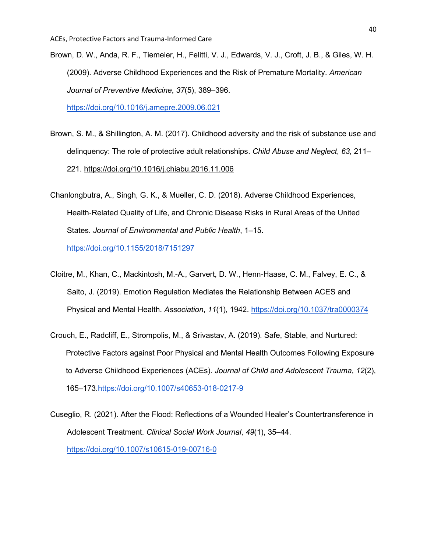- Brown, D. W., Anda, R. F., Tiemeier, H., Felitti, V. J., Edwards, V. J., Croft, J. B., & Giles, W. H. (2009). Adverse Childhood Experiences and the Risk of Premature Mortality. *American Journal of Preventive Medicine*, *37*(5), 389–396. <https://doi.org/10.1016/j.amepre.2009.06.021>
- Brown, S. M., & Shillington, A. M. (2017). Childhood adversity and the risk of substance use and delinquency: The role of protective adult relationships. *Child Abuse and Neglect*, *63*, 211– 221. <https://doi.org/10.1016/j.chiabu.2016.11.006>
- Chanlongbutra, A., Singh, G. K., & Mueller, C. D. (2018). Adverse Childhood Experiences, Health‐Related Quality of Life, and Chronic Disease Risks in Rural Areas of the United States. *Journal of Environmental and Public Health*, 1–15. <https://doi.org/10.1155/2018/7151297>
- Cloitre, M., Khan, C., Mackintosh, M.-A., Garvert, D. W., Henn-Haase, C. M., Falvey, E. C., & Saito, J. (2019). Emotion Regulation Mediates the Relationship Between ACES and Physical and Mental Health. *Association*, *11*(1), 1942. <https://doi.org/10.1037/tra0000374>
- Crouch, E., Radcliff, E., Strompolis, M., & Srivastav, A. (2019). Safe, Stable, and Nurtured: Protective Factors against Poor Physical and Mental Health Outcomes Following Exposure to Adverse Childhood Experiences (ACEs). *Journal of Child and Adolescent Trauma*, *12*(2), 165–173.https://doi.org/10.1007/s40653-018-0217-9
- Cuseglio, R. (2021). After the Flood: Reflections of a Wounded Healer's Countertransference in Adolescent Treatment. *Clinical Social Work Journal*, *49*(1), 35–44. <https://doi.org/10.1007/s10615-019-00716-0>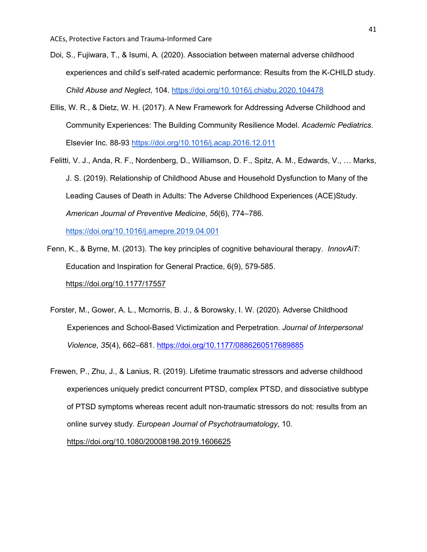- Doi, S., Fujiwara, T., & Isumi, A. (2020). Association between maternal adverse childhood experiences and child's self-rated academic performance: Results from the K-CHILD study. *Child Abuse and Neglect*, 104. <https://doi.org/10.1016/j.chiabu.2020.104478>
- Ellis, W. R., & Dietz, W. H. (2017). A New Framework for Addressing Adverse Childhood and Community Experiences: The Building Community Resilience Model. *Academic Pediatrics*. Elsevier Inc. 88-93<https://doi.org/10.1016/j.acap.2016.12.011>
- Felitti, V. J., Anda, R. F., Nordenberg, D., Williamson, D. F., Spitz, A. M., Edwards, V., … Marks, J. S. (2019). Relationship of Childhood Abuse and Household Dysfunction to Many of the Leading Causes of Death in Adults: The Adverse Childhood Experiences (ACE)Study. *American Journal of Preventive Medicine*, *56*(6), 774–786.

<https://doi.org/10.1016/j.amepre.2019.04.001>

- Fenn, K., & Byrne, M. (2013). The key principles of cognitive behavioural therapy. *InnovAiT:*  Education and Inspiration for General Practice, 6(9), 579-585. [https://doi.org/10.1177/17557](https://doi.org/10.1177/1755738012471029)
- Forster, M., Gower, A. L., Mcmorris, B. J., & Borowsky, I. W. (2020). Adverse Childhood Experiences and School-Based Victimization and Perpetration. *Journal of Interpersonal Violence*, *35*(4), 662–681. <https://doi.org/10.1177/0886260517689885>
- Frewen, P., Zhu, J., & Lanius, R. (2019). Lifetime traumatic stressors and adverse childhood experiences uniquely predict concurrent PTSD, complex PTSD, and dissociative subtype of PTSD symptoms whereas recent adult non-traumatic stressors do not: results from an online survey study. *European Journal of Psychotraumatology*, 10. <https://doi.org/10.1080/20008198.2019.1606625>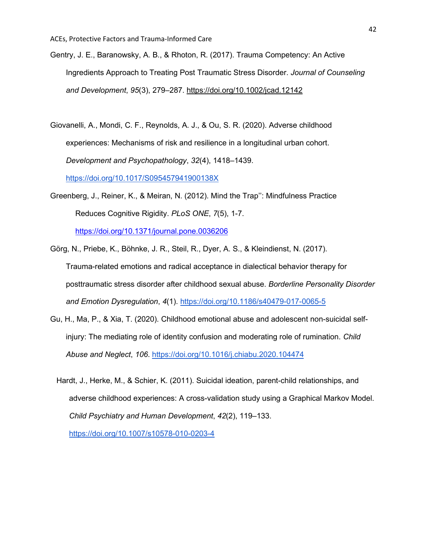- Gentry, J. E., Baranowsky, A. B., & Rhoton, R. (2017). Trauma Competency: An Active Ingredients Approach to Treating Post Traumatic Stress Disorder. *Journal of Counseling and Development*, *95*(3), 279–287. <https://doi.org/10.1002/jcad.12142>
- Giovanelli, A., Mondi, C. F., Reynolds, A. J., & Ou, S. R. (2020). Adverse childhood experiences: Mechanisms of risk and resilience in a longitudinal urban cohort. *Development and Psychopathology*, *32*(4), 1418–1439. <https://doi.org/10.1017/S095457941900138X>
- Greenberg, J., Reiner, K., & Meiran, N. (2012). Mind the Trap'': Mindfulness Practice Reduces Cognitive Rigidity. *PLoS ONE*, *7*(5), 1-7.

<https://doi.org/10.1371/journal.pone.0036206>

- Görg, N., Priebe, K., Böhnke, J. R., Steil, R., Dyer, A. S., & Kleindienst, N. (2017). Trauma-related emotions and radical acceptance in dialectical behavior therapy for posttraumatic stress disorder after childhood sexual abuse. *Borderline Personality Disorder and Emotion Dysregulation*, *4*(1).<https://doi.org/10.1186/s40479-017-0065-5>
- Gu, H., Ma, P., & Xia, T. (2020). Childhood emotional abuse and adolescent non-suicidal selfinjury: The mediating role of identity confusion and moderating role of rumination. *Child Abuse and Neglect*, *106*. <https://doi.org/10.1016/j.chiabu.2020.104474>
	- Hardt, J., Herke, M., & Schier, K. (2011). Suicidal ideation, parent-child relationships, and adverse childhood experiences: A cross-validation study using a Graphical Markov Model. *Child Psychiatry and Human Development*, *42*(2), 119–133.

<https://doi.org/10.1007/s10578-010-0203-4>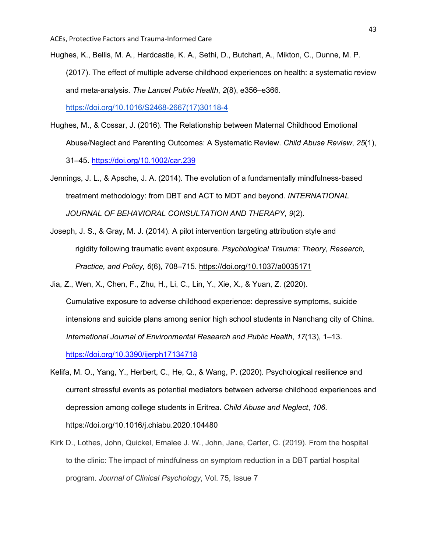- Hughes, K., Bellis, M. A., Hardcastle, K. A., Sethi, D., Butchart, A., Mikton, C., Dunne, M. P. (2017). The effect of multiple adverse childhood experiences on health: a systematic review and meta-analysis. *The Lancet Public Health*, *2*(8), e356–e366. [https://doi.org/10.1016/S2468-2667\(17\)30118-4](https://doi.org/10.1016/S2468-2667(17)30118-4)
- Hughes, M., & Cossar, J. (2016). The Relationship between Maternal Childhood Emotional Abuse/Neglect and Parenting Outcomes: A Systematic Review. *Child Abuse Review*, *25*(1), 31–45. <https://doi.org/10.1002/car.239>
- Jennings, J. L., & Apsche, J. A. (2014). The evolution of a fundamentally mindfulness-based treatment methodology: from DBT and ACT to MDT and beyond. *INTERNATIONAL JOURNAL OF BEHAVIORAL CONSULTATION AND THERAPY*, *9*(2).
- Joseph, J. S., & Gray, M. J. (2014). A pilot intervention targeting attribution style and rigidity following traumatic event exposure. *Psychological Trauma: Theory, Research, Practice, and Policy, 6*(6), 708–715. [https://doi.org/10.1037/a0035171](https://psycnet.apa.org/doi/10.1037/a0035171)
- Jia, Z., Wen, X., Chen, F., Zhu, H., Li, C., Lin, Y., Xie, X., & Yuan, Z. (2020). Cumulative exposure to adverse childhood experience: depressive symptoms, suicide intensions and suicide plans among senior high school students in Nanchang city of China. *International Journal of Environmental Research and Public Health*, *17*(13), 1–13. <https://doi.org/10.3390/ijerph17134718>
- Kelifa, M. O., Yang, Y., Herbert, C., He, Q., & Wang, P. (2020). Psychological resilience and current stressful events as potential mediators between adverse childhood experiences and depression among college students in Eritrea. *Child Abuse and Neglect*, *106*. <https://doi.org/10.1016/j.chiabu.2020.104480>
- Kirk D., Lothes, John, Quickel, Emalee J. W., John, Jane, Carter, C. (2019). From the hospital to the clinic: The impact of mindfulness on symptom reduction in a DBT partial hospital program. *Journal of Clinical Psychology*, Vol. 75, Issue 7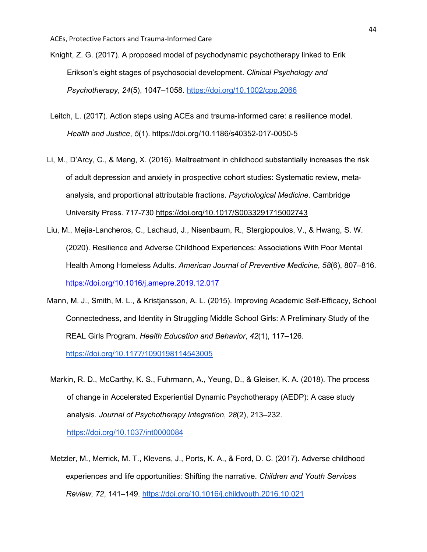- Knight, Z. G. (2017). A proposed model of psychodynamic psychotherapy linked to Erik Erikson's eight stages of psychosocial development. *Clinical Psychology and Psychotherapy*, *24*(5), 1047–1058. <https://doi.org/10.1002/cpp.2066>
- Leitch, L. (2017). Action steps using ACEs and trauma-informed care: a resilience model. *Health and Justice*, *5*(1). https://doi.org/10.1186/s40352-017-0050-5
- Li, M., D'Arcy, C., & Meng, X. (2016). Maltreatment in childhood substantially increases the risk of adult depression and anxiety in prospective cohort studies: Systematic review, metaanalysis, and proportional attributable fractions. *Psychological Medicine*. Cambridge University Press. 717-730<https://doi.org/10.1017/S0033291715002743>
- Liu, M., Mejia-Lancheros, C., Lachaud, J., Nisenbaum, R., Stergiopoulos, V., & Hwang, S. W. (2020). Resilience and Adverse Childhood Experiences: Associations With Poor Mental Health Among Homeless Adults. *American Journal of Preventive Medicine*, *58*(6), 807–816. <https://doi.org/10.1016/j.amepre.2019.12.017>
- Mann, M. J., Smith, M. L., & Kristjansson, A. L. (2015). Improving Academic Self-Efficacy, School Connectedness, and Identity in Struggling Middle School Girls: A Preliminary Study of the REAL Girls Program. *Health Education and Behavior*, *42*(1), 117–126. <https://doi.org/10.1177/1090198114543005>
- Markin, R. D., McCarthy, K. S., Fuhrmann, A., Yeung, D., & Gleiser, K. A. (2018). The process of change in Accelerated Experiential Dynamic Psychotherapy (AEDP): A case study analysis. *Journal of Psychotherapy Integration*, *28*(2), 213–232. <https://doi.org/10.1037/int0000084>
- Metzler, M., Merrick, M. T., Klevens, J., Ports, K. A., & Ford, D. C. (2017). Adverse childhood experiences and life opportunities: Shifting the narrative. *Children and Youth Services Review*, *72*, 141–149. <https://doi.org/10.1016/j.childyouth.2016.10.021>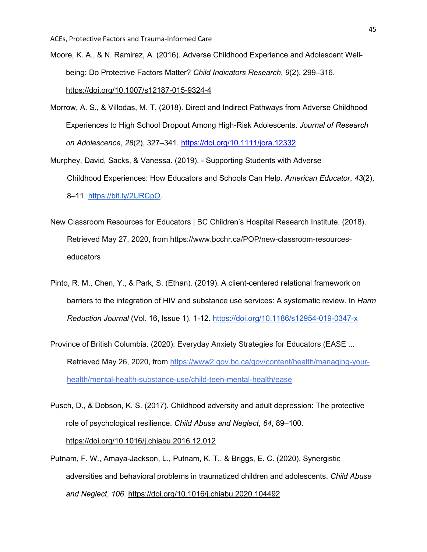- Moore, K. A., & N. Ramirez, A. (2016). Adverse Childhood Experience and Adolescent Wellbeing: Do Protective Factors Matter? *Child Indicators Research*, *9*(2), 299–316. <https://doi.org/10.1007/s12187-015-9324-4>
- Morrow, A. S., & Villodas, M. T. (2018). Direct and Indirect Pathways from Adverse Childhood Experiences to High School Dropout Among High-Risk Adolescents. *Journal of Research on Adolescence*, *28*(2), 327–341. <https://doi.org/10.1111/jora.12332>
- Murphey, David, Sacks, & Vanessa. (2019). Supporting Students with Adverse Childhood Experiences: How Educators and Schools Can Help. *American Educator*, *43*(2), 8–11. [https://bit.ly/2lJRCpO.](https://bit.ly/2lJRCpO)
- New Classroom Resources for Educators | BC Children's Hospital Research Institute. (2018). Retrieved May 27, 2020, from https://www.bcchr.ca/POP/new-classroom-resourceseducators
- Pinto, R. M., Chen, Y., & Park, S. (Ethan). (2019). A client-centered relational framework on barriers to the integration of HIV and substance use services: A systematic review. In *Harm Reduction Journal* (Vol. 16, Issue 1). 1-12. <https://doi.org/10.1186/s12954-019-0347-x>
- Province of British Columbia. (2020). Everyday Anxiety Strategies for Educators (EASE ... Retrieved May 26, 2020, from [https://www2.gov.bc.ca/gov/content/health/managing-your](https://www2.gov.bc.ca/gov/content/health/managing-your-health/mental-health-substance-use/child-teen-mental-health/ease)[health/mental-health-substance-use/child-teen-mental-health/ease](https://www2.gov.bc.ca/gov/content/health/managing-your-health/mental-health-substance-use/child-teen-mental-health/ease)
- Pusch, D., & Dobson, K. S. (2017). Childhood adversity and adult depression: The protective role of psychological resilience. *Child Abuse and Neglect*, *64*, 89–100. <https://doi.org/10.1016/j.chiabu.2016.12.012>
- Putnam, F. W., Amaya-Jackson, L., Putnam, K. T., & Briggs, E. C. (2020). Synergistic adversities and behavioral problems in traumatized children and adolescents. *Child Abuse and Neglect*, *106*. <https://doi.org/10.1016/j.chiabu.2020.104492>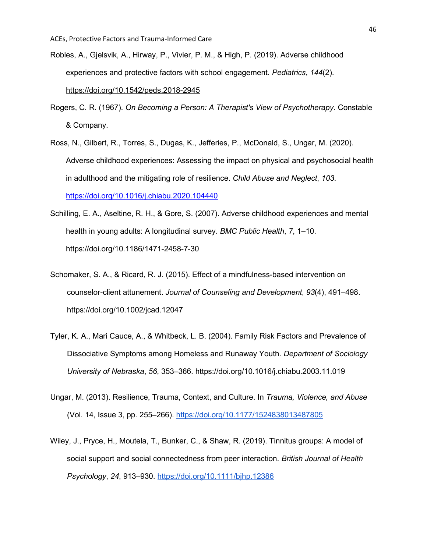- Robles, A., Gjelsvik, A., Hirway, P., Vivier, P. M., & High, P. (2019). Adverse childhood experiences and protective factors with school engagement. *Pediatrics*, *144*(2). <https://doi.org/10.1542/peds.2018-2945>
- Rogers, C. R. (1967). *On Becoming a Person: A Therapist's View of Psychotherapy.* Constable & Company.
- Ross, N., Gilbert, R., Torres, S., Dugas, K., Jefferies, P., McDonald, S., Ungar, M. (2020). Adverse childhood experiences: Assessing the impact on physical and psychosocial health in adulthood and the mitigating role of resilience. *Child Abuse and Neglect*, *103*. <https://doi.org/10.1016/j.chiabu.2020.104440>
- Schilling, E. A., Aseltine, R. H., & Gore, S. (2007). Adverse childhood experiences and mental health in young adults: A longitudinal survey. *BMC Public Health*, *7*, 1–10. https://doi.org/10.1186/1471-2458-7-30
- Schomaker, S. A., & Ricard, R. J. (2015). Effect of a mindfulness-based intervention on counselor-client attunement. *Journal of Counseling and Development*, *93*(4), 491–498. https://doi.org/10.1002/jcad.12047
- Tyler, K. A., Mari Cauce, A., & Whitbeck, L. B. (2004). Family Risk Factors and Prevalence of Dissociative Symptoms among Homeless and Runaway Youth. *Department of Sociology University of Nebraska*, *56*, 353–366. https://doi.org/10.1016/j.chiabu.2003.11.019
- Ungar, M. (2013). Resilience, Trauma, Context, and Culture. In *Trauma, Violence, and Abuse* (Vol. 14, Issue 3, pp. 255–266). <https://doi.org/10.1177/1524838013487805>
- Wiley, J., Pryce, H., Moutela, T., Bunker, C., & Shaw, R. (2019). Tinnitus groups: A model of social support and social connectedness from peer interaction. *British Journal of Health Psychology*, *24*, 913–930. <https://doi.org/10.1111/bjhp.12386>